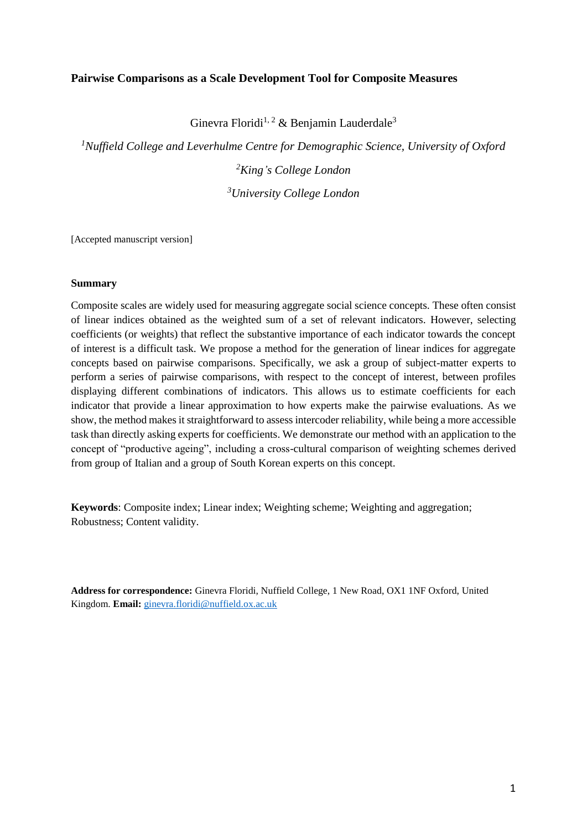### **Pairwise Comparisons as a Scale Development Tool for Composite Measures**

Ginevra Floridi<sup>1, 2</sup> & Benjamin Lauderdale<sup>3</sup>

*<sup>1</sup>Nuffield College and Leverhulme Centre for Demographic Science, University of Oxford <sup>2</sup>King's College London <sup>3</sup>University College London*

[Accepted manuscript version]

### **Summary**

Composite scales are widely used for measuring aggregate social science concepts. These often consist of linear indices obtained as the weighted sum of a set of relevant indicators. However, selecting coefficients (or weights) that reflect the substantive importance of each indicator towards the concept of interest is a difficult task. We propose a method for the generation of linear indices for aggregate concepts based on pairwise comparisons. Specifically, we ask a group of subject-matter experts to perform a series of pairwise comparisons, with respect to the concept of interest, between profiles displaying different combinations of indicators. This allows us to estimate coefficients for each indicator that provide a linear approximation to how experts make the pairwise evaluations. As we show, the method makes it straightforward to assess intercoder reliability, while being a more accessible task than directly asking experts for coefficients. We demonstrate our method with an application to the concept of "productive ageing", including a cross-cultural comparison of weighting schemes derived from group of Italian and a group of South Korean experts on this concept.

**Keywords**: Composite index; Linear index; Weighting scheme; Weighting and aggregation; Robustness; Content validity.

**Address for correspondence:** Ginevra Floridi, Nuffield College, 1 New Road, OX1 1NF Oxford, United Kingdom. **Email:** [ginevra.floridi@nuffield.ox.ac.uk](mailto:ginevra.floridi@nuffield.ox.ac.uk)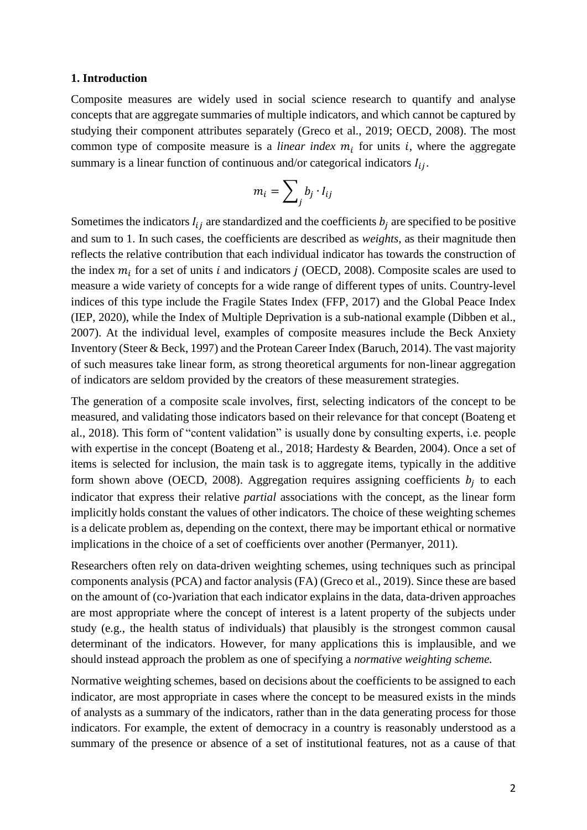### **1. Introduction**

Composite measures are widely used in social science research to quantify and analyse concepts that are aggregate summaries of multiple indicators, and which cannot be captured by studying their component attributes separately (Greco et al., 2019; OECD, 2008). The most common type of composite measure is a *linear index*  $m_i$  for units  $i$ , where the aggregate summary is a linear function of continuous and/or categorical indicators  $I_{ij}$ .

$$
m_i = \sum_j b_j \cdot I_{ij}
$$

Sometimes the indicators  $I_{ij}$  are standardized and the coefficients  $b_i$  are specified to be positive and sum to 1. In such cases, the coefficients are described as *weights*, as their magnitude then reflects the relative contribution that each individual indicator has towards the construction of the index  $m_i$  for a set of units *i* and indicators *j* (OECD, 2008). Composite scales are used to measure a wide variety of concepts for a wide range of different types of units. Country-level indices of this type include the Fragile States Index (FFP, 2017) and the Global Peace Index (IEP, 2020), while the Index of Multiple Deprivation is a sub-national example (Dibben et al., 2007). At the individual level, examples of composite measures include the Beck Anxiety Inventory (Steer & Beck, 1997) and the Protean Career Index (Baruch, 2014). The vast majority of such measures take linear form, as strong theoretical arguments for non-linear aggregation of indicators are seldom provided by the creators of these measurement strategies.

The generation of a composite scale involves, first, selecting indicators of the concept to be measured, and validating those indicators based on their relevance for that concept (Boateng et al., 2018). This form of "content validation" is usually done by consulting experts, i.e. people with expertise in the concept (Boateng et al., 2018; Hardesty & Bearden, 2004). Once a set of items is selected for inclusion, the main task is to aggregate items, typically in the additive form shown above (OECD, 2008). Aggregation requires assigning coefficients  $b_j$  to each indicator that express their relative *partial* associations with the concept, as the linear form implicitly holds constant the values of other indicators. The choice of these weighting schemes is a delicate problem as, depending on the context, there may be important ethical or normative implications in the choice of a set of coefficients over another (Permanyer, 2011).

Researchers often rely on data-driven weighting schemes, using techniques such as principal components analysis (PCA) and factor analysis (FA) (Greco et al., 2019). Since these are based on the amount of (co-)variation that each indicator explains in the data, data-driven approaches are most appropriate where the concept of interest is a latent property of the subjects under study (e.g., the health status of individuals) that plausibly is the strongest common causal determinant of the indicators. However, for many applications this is implausible, and we should instead approach the problem as one of specifying a *normative weighting scheme.* 

Normative weighting schemes, based on decisions about the coefficients to be assigned to each indicator, are most appropriate in cases where the concept to be measured exists in the minds of analysts as a summary of the indicators, rather than in the data generating process for those indicators. For example, the extent of democracy in a country is reasonably understood as a summary of the presence or absence of a set of institutional features, not as a cause of that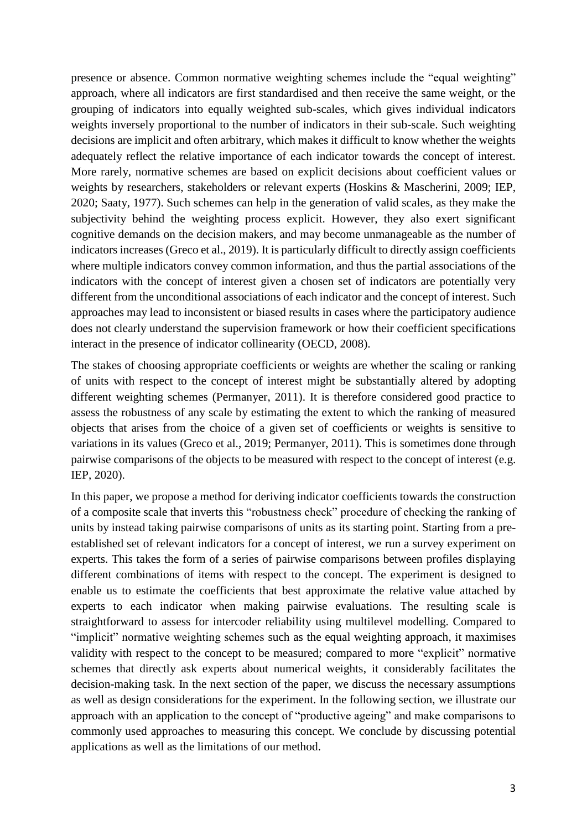presence or absence. Common normative weighting schemes include the "equal weighting" approach, where all indicators are first standardised and then receive the same weight, or the grouping of indicators into equally weighted sub-scales, which gives individual indicators weights inversely proportional to the number of indicators in their sub-scale. Such weighting decisions are implicit and often arbitrary, which makes it difficult to know whether the weights adequately reflect the relative importance of each indicator towards the concept of interest. More rarely, normative schemes are based on explicit decisions about coefficient values or weights by researchers, stakeholders or relevant experts (Hoskins & Mascherini, 2009; IEP, 2020; Saaty, 1977). Such schemes can help in the generation of valid scales, as they make the subjectivity behind the weighting process explicit. However, they also exert significant cognitive demands on the decision makers, and may become unmanageable as the number of indicators increases (Greco et al., 2019). It is particularly difficult to directly assign coefficients where multiple indicators convey common information, and thus the partial associations of the indicators with the concept of interest given a chosen set of indicators are potentially very different from the unconditional associations of each indicator and the concept of interest. Such approaches may lead to inconsistent or biased results in cases where the participatory audience does not clearly understand the supervision framework or how their coefficient specifications interact in the presence of indicator collinearity (OECD, 2008).

The stakes of choosing appropriate coefficients or weights are whether the scaling or ranking of units with respect to the concept of interest might be substantially altered by adopting different weighting schemes (Permanyer, 2011). It is therefore considered good practice to assess the robustness of any scale by estimating the extent to which the ranking of measured objects that arises from the choice of a given set of coefficients or weights is sensitive to variations in its values (Greco et al., 2019; Permanyer, 2011). This is sometimes done through pairwise comparisons of the objects to be measured with respect to the concept of interest (e.g. IEP, 2020).

In this paper, we propose a method for deriving indicator coefficients towards the construction of a composite scale that inverts this "robustness check" procedure of checking the ranking of units by instead taking pairwise comparisons of units as its starting point. Starting from a preestablished set of relevant indicators for a concept of interest, we run a survey experiment on experts. This takes the form of a series of pairwise comparisons between profiles displaying different combinations of items with respect to the concept. The experiment is designed to enable us to estimate the coefficients that best approximate the relative value attached by experts to each indicator when making pairwise evaluations. The resulting scale is straightforward to assess for intercoder reliability using multilevel modelling. Compared to "implicit" normative weighting schemes such as the equal weighting approach, it maximises validity with respect to the concept to be measured; compared to more "explicit" normative schemes that directly ask experts about numerical weights, it considerably facilitates the decision-making task. In the next section of the paper, we discuss the necessary assumptions as well as design considerations for the experiment. In the following section, we illustrate our approach with an application to the concept of "productive ageing" and make comparisons to commonly used approaches to measuring this concept. We conclude by discussing potential applications as well as the limitations of our method.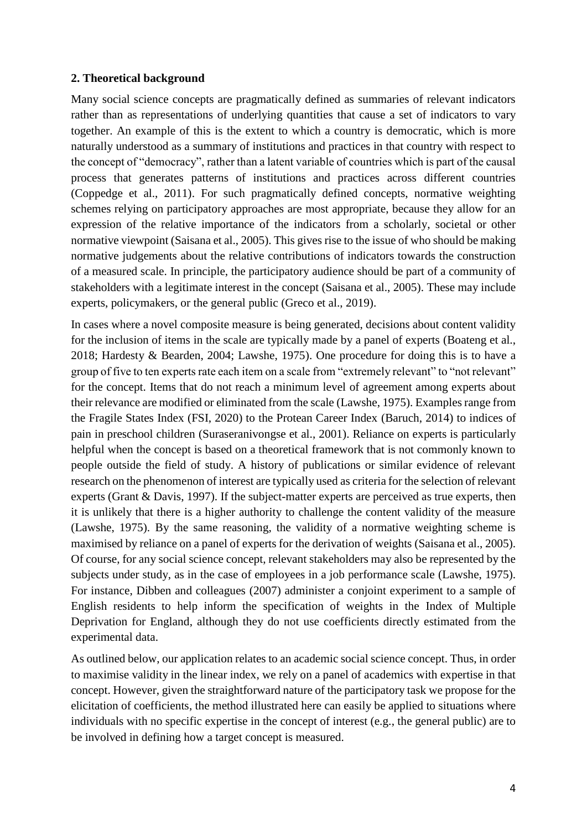## **2. Theoretical background**

Many social science concepts are pragmatically defined as summaries of relevant indicators rather than as representations of underlying quantities that cause a set of indicators to vary together. An example of this is the extent to which a country is democratic, which is more naturally understood as a summary of institutions and practices in that country with respect to the concept of "democracy", rather than a latent variable of countries which is part of the causal process that generates patterns of institutions and practices across different countries (Coppedge et al., 2011). For such pragmatically defined concepts, normative weighting schemes relying on participatory approaches are most appropriate, because they allow for an expression of the relative importance of the indicators from a scholarly, societal or other normative viewpoint (Saisana et al., 2005). This gives rise to the issue of who should be making normative judgements about the relative contributions of indicators towards the construction of a measured scale. In principle, the participatory audience should be part of a community of stakeholders with a legitimate interest in the concept (Saisana et al., 2005). These may include experts, policymakers, or the general public (Greco et al., 2019).

In cases where a novel composite measure is being generated, decisions about content validity for the inclusion of items in the scale are typically made by a panel of experts (Boateng et al., 2018; Hardesty & Bearden, 2004; Lawshe, 1975). One procedure for doing this is to have a group of five to ten experts rate each item on a scale from "extremely relevant" to "not relevant" for the concept. Items that do not reach a minimum level of agreement among experts about their relevance are modified or eliminated from the scale (Lawshe, 1975). Examples range from the Fragile States Index (FSI, 2020) to the Protean Career Index (Baruch, 2014) to indices of pain in preschool children (Suraseranivongse et al., 2001). Reliance on experts is particularly helpful when the concept is based on a theoretical framework that is not commonly known to people outside the field of study. A history of publications or similar evidence of relevant research on the phenomenon of interest are typically used as criteria for the selection of relevant experts (Grant & Davis, 1997). If the subject-matter experts are perceived as true experts, then it is unlikely that there is a higher authority to challenge the content validity of the measure (Lawshe, 1975). By the same reasoning, the validity of a normative weighting scheme is maximised by reliance on a panel of experts for the derivation of weights (Saisana et al., 2005). Of course, for any social science concept, relevant stakeholders may also be represented by the subjects under study, as in the case of employees in a job performance scale (Lawshe, 1975). For instance, Dibben and colleagues (2007) administer a conjoint experiment to a sample of English residents to help inform the specification of weights in the Index of Multiple Deprivation for England, although they do not use coefficients directly estimated from the experimental data.

As outlined below, our application relates to an academic social science concept. Thus, in order to maximise validity in the linear index, we rely on a panel of academics with expertise in that concept. However, given the straightforward nature of the participatory task we propose for the elicitation of coefficients, the method illustrated here can easily be applied to situations where individuals with no specific expertise in the concept of interest (e.g., the general public) are to be involved in defining how a target concept is measured.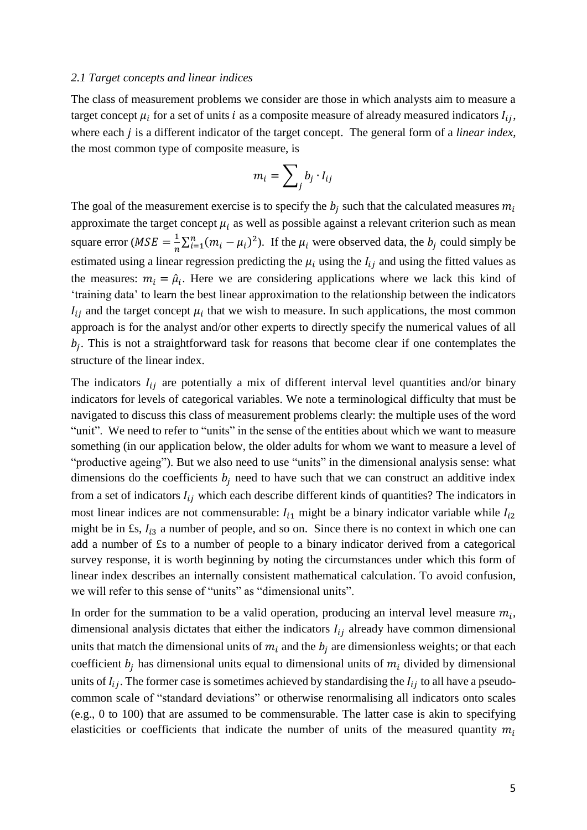### *2.1 Target concepts and linear indices*

The class of measurement problems we consider are those in which analysts aim to measure a target concept  $\mu_i$  for a set of units *i* as a composite measure of already measured indicators  $I_{ij}$ , where each *j* is a different indicator of the target concept. The general form of a *linear index*, the most common type of composite measure, is

$$
m_i = \sum_j b_j \cdot I_{ij}
$$

The goal of the measurement exercise is to specify the  $b_j$  such that the calculated measures  $m_i$ approximate the target concept  $\mu_i$  as well as possible against a relevant criterion such as mean square error ( $MSE = \frac{1}{n}$  $\frac{1}{n}\sum_{i=1}^{n}(m_i - \mu_i)^2$ . If the  $\mu_i$  were observed data, the  $b_j$  could simply be estimated using a linear regression predicting the  $\mu_i$  using the  $I_{ij}$  and using the fitted values as the measures:  $m_i = \hat{\mu}_i$ . Here we are considering applications where we lack this kind of 'training data' to learn the best linear approximation to the relationship between the indicators  $I_{ij}$  and the target concept  $\mu_i$  that we wish to measure. In such applications, the most common approach is for the analyst and/or other experts to directly specify the numerical values of all  $b_j$ . This is not a straightforward task for reasons that become clear if one contemplates the structure of the linear index.

The indicators  $I_{ij}$  are potentially a mix of different interval level quantities and/or binary indicators for levels of categorical variables. We note a terminological difficulty that must be navigated to discuss this class of measurement problems clearly: the multiple uses of the word "unit". We need to refer to "units" in the sense of the entities about which we want to measure something (in our application below, the older adults for whom we want to measure a level of "productive ageing"). But we also need to use "units" in the dimensional analysis sense: what dimensions do the coefficients  $b_i$  need to have such that we can construct an additive index from a set of indicators  $I_{ij}$  which each describe different kinds of quantities? The indicators in most linear indices are not commensurable:  $I_{i1}$  might be a binary indicator variable while  $I_{i2}$ might be in £s,  $I_{i3}$  a number of people, and so on. Since there is no context in which one can add a number of £s to a number of people to a binary indicator derived from a categorical survey response, it is worth beginning by noting the circumstances under which this form of linear index describes an internally consistent mathematical calculation. To avoid confusion, we will refer to this sense of "units" as "dimensional units".

In order for the summation to be a valid operation, producing an interval level measure  $m_i$ , dimensional analysis dictates that either the indicators  $I_{ij}$  already have common dimensional units that match the dimensional units of  $m_i$  and the  $b_j$  are dimensionless weights; or that each coefficient  $b_i$  has dimensional units equal to dimensional units of  $m_i$  divided by dimensional units of  $I_{ij}$ . The former case is sometimes achieved by standardising the  $I_{ij}$  to all have a pseudocommon scale of "standard deviations" or otherwise renormalising all indicators onto scales (e.g., 0 to 100) that are assumed to be commensurable. The latter case is akin to specifying elasticities or coefficients that indicate the number of units of the measured quantity  $m_i$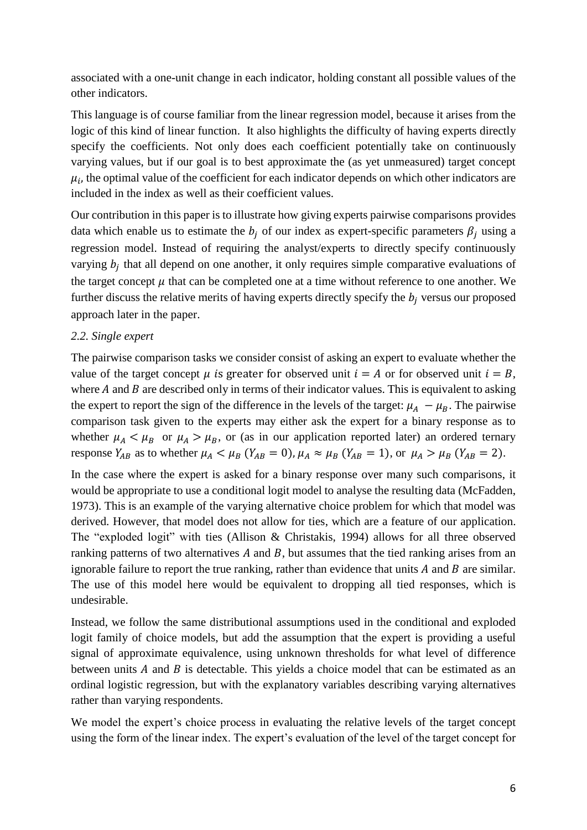associated with a one-unit change in each indicator, holding constant all possible values of the other indicators.

This language is of course familiar from the linear regression model, because it arises from the logic of this kind of linear function. It also highlights the difficulty of having experts directly specify the coefficients. Not only does each coefficient potentially take on continuously varying values, but if our goal is to best approximate the (as yet unmeasured) target concept  $\mu_i$ , the optimal value of the coefficient for each indicator depends on which other indicators are included in the index as well as their coefficient values.

Our contribution in this paper is to illustrate how giving experts pairwise comparisons provides data which enable us to estimate the  $b_i$  of our index as expert-specific parameters  $\beta_i$  using a regression model. Instead of requiring the analyst/experts to directly specify continuously varying  $b_j$  that all depend on one another, it only requires simple comparative evaluations of the target concept  $\mu$  that can be completed one at a time without reference to one another. We further discuss the relative merits of having experts directly specify the  $b_i$  versus our proposed approach later in the paper.

## *2.2. Single expert*

The pairwise comparison tasks we consider consist of asking an expert to evaluate whether the value of the target concept  $\mu$  is greater for observed unit  $i = A$  or for observed unit  $i = B$ , where  $A$  and  $B$  are described only in terms of their indicator values. This is equivalent to asking the expert to report the sign of the difference in the levels of the target:  $\mu_A - \mu_B$ . The pairwise comparison task given to the experts may either ask the expert for a binary response as to whether  $\mu_A < \mu_B$  or  $\mu_A > \mu_B$ , or (as in our application reported later) an ordered ternary response  $Y_{AB}$  as to whether  $\mu_A < \mu_B$  ( $Y_{AB} = 0$ ),  $\mu_A \approx \mu_B$  ( $Y_{AB} = 1$ ), or  $\mu_A > \mu_B$  ( $Y_{AB} = 2$ ).

In the case where the expert is asked for a binary response over many such comparisons, it would be appropriate to use a conditional logit model to analyse the resulting data (McFadden, 1973). This is an example of the varying alternative choice problem for which that model was derived. However, that model does not allow for ties, which are a feature of our application. The "exploded logit" with ties (Allison & Christakis, 1994) allows for all three observed ranking patterns of two alternatives  $A$  and  $B$ , but assumes that the tied ranking arises from an ignorable failure to report the true ranking, rather than evidence that units  $A$  and  $B$  are similar. The use of this model here would be equivalent to dropping all tied responses, which is undesirable.

Instead, we follow the same distributional assumptions used in the conditional and exploded logit family of choice models, but add the assumption that the expert is providing a useful signal of approximate equivalence, using unknown thresholds for what level of difference between units  $A$  and  $B$  is detectable. This yields a choice model that can be estimated as an ordinal logistic regression, but with the explanatory variables describing varying alternatives rather than varying respondents.

We model the expert's choice process in evaluating the relative levels of the target concept using the form of the linear index. The expert's evaluation of the level of the target concept for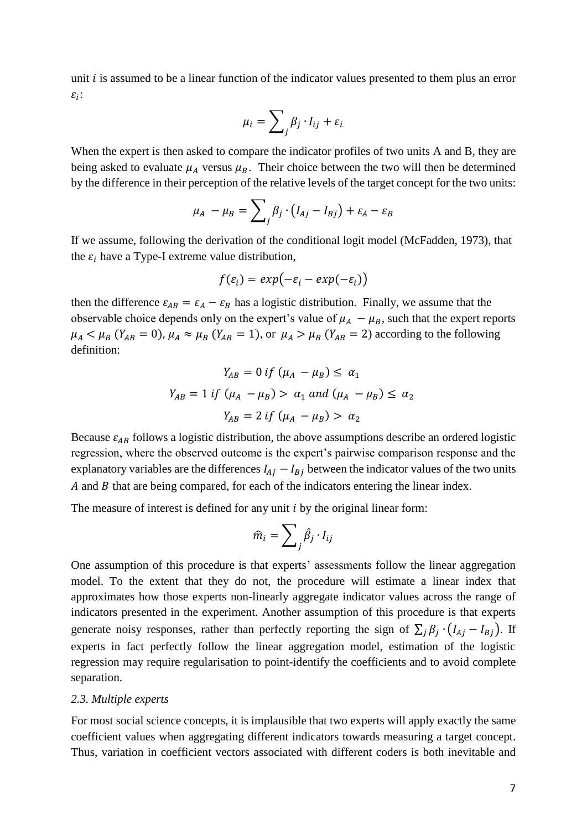unit  $i$  is assumed to be a linear function of the indicator values presented to them plus an error  $\varepsilon_i$ :

$$
\mu_i = \sum_j \beta_j \cdot I_{ij} + \varepsilon_i
$$

When the expert is then asked to compare the indicator profiles of two units A and B, they are being asked to evaluate  $\mu_A$  versus  $\mu_B$ . Their choice between the two will then be determined by the difference in their perception of the relative levels of the target concept for the two units:

$$
\mu_A - \mu_B = \sum_j \beta_j \cdot (I_{Aj} - I_{Bj}) + \varepsilon_A - \varepsilon_B
$$

If we assume, following the derivation of the conditional logit model (McFadden, 1973), that the  $\varepsilon_i$  have a Type-I extreme value distribution,

$$
f(\varepsilon_i) = exp(-\varepsilon_i - exp(-\varepsilon_i))
$$

then the difference  $\varepsilon_{AB} = \varepsilon_A - \varepsilon_B$  has a logistic distribution. Finally, we assume that the observable choice depends only on the expert's value of  $\mu_A - \mu_B$ , such that the expert reports  $\mu_A < \mu_B$  ( $Y_{AB} = 0$ ),  $\mu_A \approx \mu_B$  ( $Y_{AB} = 1$ ), or  $\mu_A > \mu_B$  ( $Y_{AB} = 2$ ) according to the following definition:

$$
Y_{AB} = 0 \text{ if } (\mu_A - \mu_B) \le \alpha_1
$$
  

$$
Y_{AB} = 1 \text{ if } (\mu_A - \mu_B) > \alpha_1 \text{ and } (\mu_A - \mu_B) \le \alpha_2
$$
  

$$
Y_{AB} = 2 \text{ if } (\mu_A - \mu_B) > \alpha_2
$$

Because  $\varepsilon_{AB}$  follows a logistic distribution, the above assumptions describe an ordered logistic regression, where the observed outcome is the expert's pairwise comparison response and the explanatory variables are the differences  $I_{Aj} - I_{Bj}$  between the indicator values of the two units A and  $\hat{B}$  that are being compared, for each of the indicators entering the linear index.

The measure of interest is defined for any unit  $i$  by the original linear form:

$$
\widehat{m}_i = \sum_j \widehat{\beta}_j \cdot I_{ij}
$$

One assumption of this procedure is that experts' assessments follow the linear aggregation model. To the extent that they do not, the procedure will estimate a linear index that approximates how those experts non-linearly aggregate indicator values across the range of indicators presented in the experiment. Another assumption of this procedure is that experts generate noisy responses, rather than perfectly reporting the sign of  $\sum_j \beta_j \cdot (I_{Aj} - I_{Bj})$ . If experts in fact perfectly follow the linear aggregation model, estimation of the logistic regression may require regularisation to point-identify the coefficients and to avoid complete separation.

### *2.3. Multiple experts*

For most social science concepts, it is implausible that two experts will apply exactly the same coefficient values when aggregating different indicators towards measuring a target concept. Thus, variation in coefficient vectors associated with different coders is both inevitable and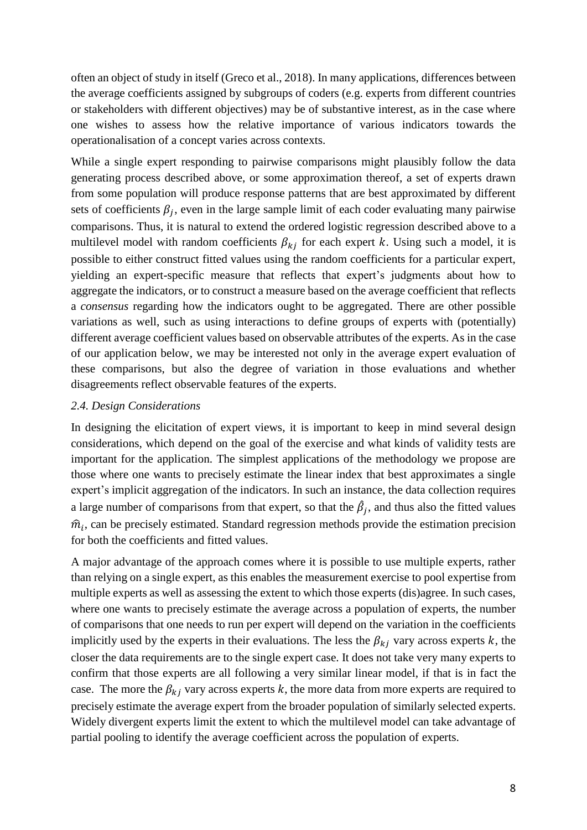often an object of study in itself (Greco et al., 2018). In many applications, differences between the average coefficients assigned by subgroups of coders (e.g. experts from different countries or stakeholders with different objectives) may be of substantive interest, as in the case where one wishes to assess how the relative importance of various indicators towards the operationalisation of a concept varies across contexts.

While a single expert responding to pairwise comparisons might plausibly follow the data generating process described above, or some approximation thereof, a set of experts drawn from some population will produce response patterns that are best approximated by different sets of coefficients  $\beta_j$ , even in the large sample limit of each coder evaluating many pairwise comparisons. Thus, it is natural to extend the ordered logistic regression described above to a multilevel model with random coefficients  $\beta_{ki}$  for each expert k. Using such a model, it is possible to either construct fitted values using the random coefficients for a particular expert, yielding an expert-specific measure that reflects that expert's judgments about how to aggregate the indicators, or to construct a measure based on the average coefficient that reflects a *consensus* regarding how the indicators ought to be aggregated. There are other possible variations as well, such as using interactions to define groups of experts with (potentially) different average coefficient values based on observable attributes of the experts. As in the case of our application below, we may be interested not only in the average expert evaluation of these comparisons, but also the degree of variation in those evaluations and whether disagreements reflect observable features of the experts.

## *2.4. Design Considerations*

In designing the elicitation of expert views, it is important to keep in mind several design considerations, which depend on the goal of the exercise and what kinds of validity tests are important for the application. The simplest applications of the methodology we propose are those where one wants to precisely estimate the linear index that best approximates a single expert's implicit aggregation of the indicators. In such an instance, the data collection requires a large number of comparisons from that expert, so that the  $\hat{\beta}_j$ , and thus also the fitted values  $\hat{m}_i$ , can be precisely estimated. Standard regression methods provide the estimation precision for both the coefficients and fitted values.

A major advantage of the approach comes where it is possible to use multiple experts, rather than relying on a single expert, as this enables the measurement exercise to pool expertise from multiple experts as well as assessing the extent to which those experts (dis)agree. In such cases, where one wants to precisely estimate the average across a population of experts, the number of comparisons that one needs to run per expert will depend on the variation in the coefficients implicitly used by the experts in their evaluations. The less the  $\beta_{kj}$  vary across experts k, the closer the data requirements are to the single expert case. It does not take very many experts to confirm that those experts are all following a very similar linear model, if that is in fact the case. The more the  $\beta_{ki}$  vary across experts k, the more data from more experts are required to precisely estimate the average expert from the broader population of similarly selected experts. Widely divergent experts limit the extent to which the multilevel model can take advantage of partial pooling to identify the average coefficient across the population of experts.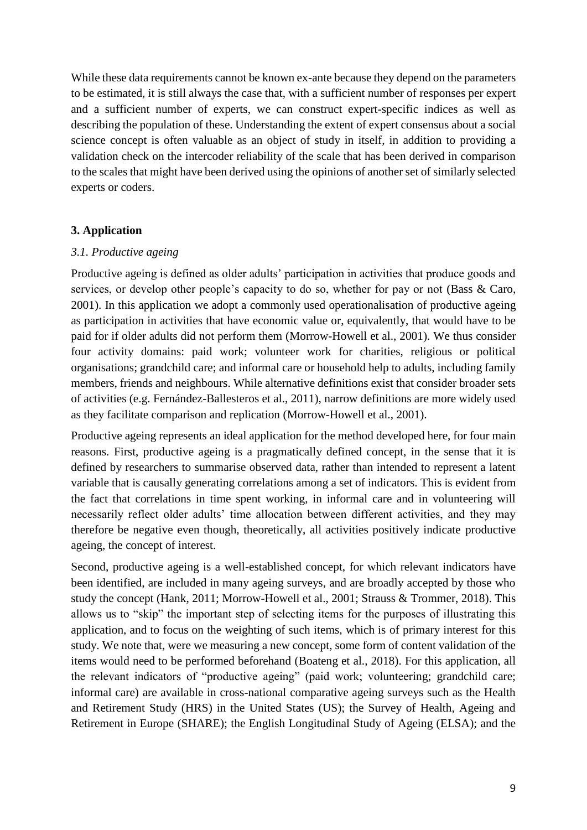While these data requirements cannot be known ex-ante because they depend on the parameters to be estimated, it is still always the case that, with a sufficient number of responses per expert and a sufficient number of experts, we can construct expert-specific indices as well as describing the population of these. Understanding the extent of expert consensus about a social science concept is often valuable as an object of study in itself, in addition to providing a validation check on the intercoder reliability of the scale that has been derived in comparison to the scales that might have been derived using the opinions of another set of similarly selected experts or coders.

# **3. Application**

# *3.1. Productive ageing*

Productive ageing is defined as older adults' participation in activities that produce goods and services, or develop other people's capacity to do so, whether for pay or not (Bass & Caro, 2001). In this application we adopt a commonly used operationalisation of productive ageing as participation in activities that have economic value or, equivalently, that would have to be paid for if older adults did not perform them (Morrow-Howell et al., 2001). We thus consider four activity domains: paid work; volunteer work for charities, religious or political organisations; grandchild care; and informal care or household help to adults, including family members, friends and neighbours. While alternative definitions exist that consider broader sets of activities (e.g. Fernández-Ballesteros et al., 2011), narrow definitions are more widely used as they facilitate comparison and replication (Morrow-Howell et al., 2001).

Productive ageing represents an ideal application for the method developed here, for four main reasons. First, productive ageing is a pragmatically defined concept, in the sense that it is defined by researchers to summarise observed data, rather than intended to represent a latent variable that is causally generating correlations among a set of indicators. This is evident from the fact that correlations in time spent working, in informal care and in volunteering will necessarily reflect older adults' time allocation between different activities, and they may therefore be negative even though, theoretically, all activities positively indicate productive ageing, the concept of interest.

Second, productive ageing is a well-established concept, for which relevant indicators have been identified, are included in many ageing surveys, and are broadly accepted by those who study the concept (Hank, 2011; Morrow-Howell et al., 2001; Strauss & Trommer, 2018). This allows us to "skip" the important step of selecting items for the purposes of illustrating this application, and to focus on the weighting of such items, which is of primary interest for this study. We note that, were we measuring a new concept, some form of content validation of the items would need to be performed beforehand (Boateng et al., 2018). For this application, all the relevant indicators of "productive ageing" (paid work; volunteering; grandchild care; informal care) are available in cross-national comparative ageing surveys such as the Health and Retirement Study (HRS) in the United States (US); the Survey of Health, Ageing and Retirement in Europe (SHARE); the English Longitudinal Study of Ageing (ELSA); and the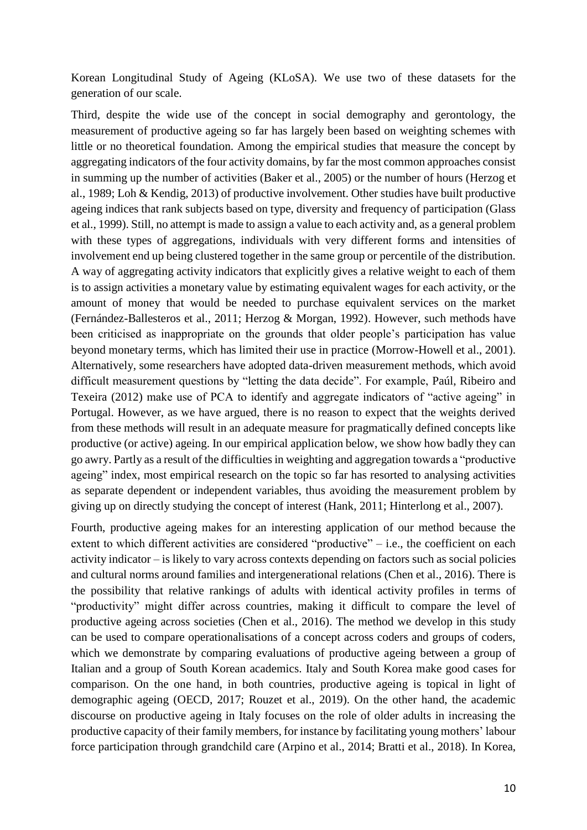Korean Longitudinal Study of Ageing (KLoSA). We use two of these datasets for the generation of our scale.

Third, despite the wide use of the concept in social demography and gerontology, the measurement of productive ageing so far has largely been based on weighting schemes with little or no theoretical foundation. Among the empirical studies that measure the concept by aggregating indicators of the four activity domains, by far the most common approaches consist in summing up the number of activities (Baker et al., 2005) or the number of hours (Herzog et al., 1989; Loh & Kendig, 2013) of productive involvement. Other studies have built productive ageing indices that rank subjects based on type, diversity and frequency of participation (Glass et al., 1999). Still, no attempt is made to assign a value to each activity and, as a general problem with these types of aggregations, individuals with very different forms and intensities of involvement end up being clustered together in the same group or percentile of the distribution. A way of aggregating activity indicators that explicitly gives a relative weight to each of them is to assign activities a monetary value by estimating equivalent wages for each activity, or the amount of money that would be needed to purchase equivalent services on the market (Fernández-Ballesteros et al., 2011; Herzog & Morgan, 1992). However, such methods have been criticised as inappropriate on the grounds that older people's participation has value beyond monetary terms, which has limited their use in practice (Morrow-Howell et al., 2001). Alternatively, some researchers have adopted data-driven measurement methods, which avoid difficult measurement questions by "letting the data decide". For example, Paúl, Ribeiro and Texeira (2012) make use of PCA to identify and aggregate indicators of "active ageing" in Portugal. However, as we have argued, there is no reason to expect that the weights derived from these methods will result in an adequate measure for pragmatically defined concepts like productive (or active) ageing. In our empirical application below, we show how badly they can go awry. Partly as a result of the difficulties in weighting and aggregation towards a "productive ageing" index, most empirical research on the topic so far has resorted to analysing activities as separate dependent or independent variables, thus avoiding the measurement problem by giving up on directly studying the concept of interest (Hank, 2011; Hinterlong et al., 2007).

Fourth, productive ageing makes for an interesting application of our method because the extent to which different activities are considered "productive" – i.e., the coefficient on each activity indicator – is likely to vary across contexts depending on factors such as social policies and cultural norms around families and intergenerational relations (Chen et al., 2016). There is the possibility that relative rankings of adults with identical activity profiles in terms of "productivity" might differ across countries, making it difficult to compare the level of productive ageing across societies (Chen et al., 2016). The method we develop in this study can be used to compare operationalisations of a concept across coders and groups of coders, which we demonstrate by comparing evaluations of productive ageing between a group of Italian and a group of South Korean academics. Italy and South Korea make good cases for comparison. On the one hand, in both countries, productive ageing is topical in light of demographic ageing (OECD, 2017; Rouzet et al., 2019). On the other hand, the academic discourse on productive ageing in Italy focuses on the role of older adults in increasing the productive capacity of their family members, for instance by facilitating young mothers' labour force participation through grandchild care (Arpino et al., 2014; Bratti et al., 2018). In Korea,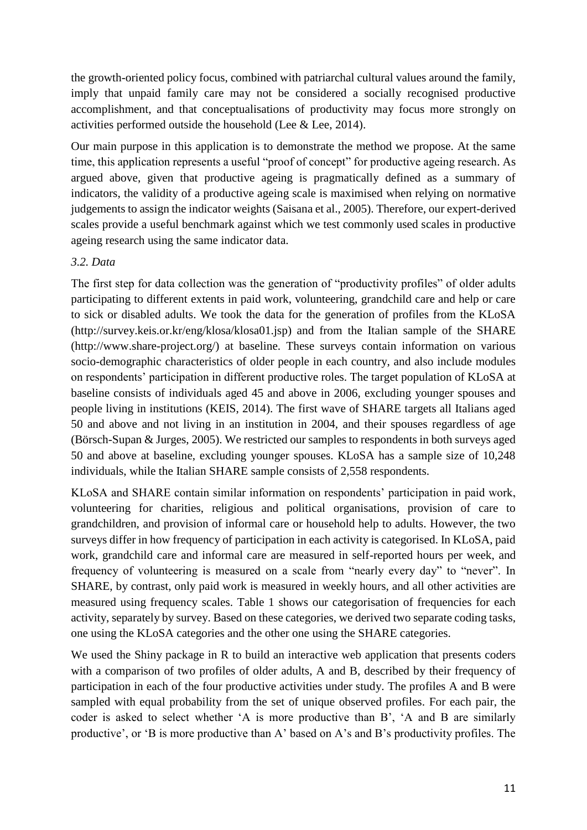the growth-oriented policy focus, combined with patriarchal cultural values around the family, imply that unpaid family care may not be considered a socially recognised productive accomplishment, and that conceptualisations of productivity may focus more strongly on activities performed outside the household (Lee & Lee, 2014).

Our main purpose in this application is to demonstrate the method we propose. At the same time, this application represents a useful "proof of concept" for productive ageing research. As argued above, given that productive ageing is pragmatically defined as a summary of indicators, the validity of a productive ageing scale is maximised when relying on normative judgements to assign the indicator weights (Saisana et al., 2005). Therefore, our expert-derived scales provide a useful benchmark against which we test commonly used scales in productive ageing research using the same indicator data.

# *3.2. Data*

The first step for data collection was the generation of "productivity profiles" of older adults participating to different extents in paid work, volunteering, grandchild care and help or care to sick or disabled adults. We took the data for the generation of profiles from the KLoSA (http://survey.keis.or.kr/eng/klosa/klosa01.jsp) and from the Italian sample of the SHARE (http://www.share-project.org/) at baseline. These surveys contain information on various socio-demographic characteristics of older people in each country, and also include modules on respondents' participation in different productive roles. The target population of KLoSA at baseline consists of individuals aged 45 and above in 2006, excluding younger spouses and people living in institutions (KEIS, 2014). The first wave of SHARE targets all Italians aged 50 and above and not living in an institution in 2004, and their spouses regardless of age (Börsch-Supan & Jurges, 2005). We restricted our samples to respondents in both surveys aged 50 and above at baseline, excluding younger spouses. KLoSA has a sample size of 10,248 individuals, while the Italian SHARE sample consists of 2,558 respondents.

KLoSA and SHARE contain similar information on respondents' participation in paid work, volunteering for charities, religious and political organisations, provision of care to grandchildren, and provision of informal care or household help to adults. However, the two surveys differ in how frequency of participation in each activity is categorised. In KLoSA, paid work, grandchild care and informal care are measured in self-reported hours per week, and frequency of volunteering is measured on a scale from "nearly every day" to "never". In SHARE, by contrast, only paid work is measured in weekly hours, and all other activities are measured using frequency scales. Table 1 shows our categorisation of frequencies for each activity, separately by survey. Based on these categories, we derived two separate coding tasks, one using the KLoSA categories and the other one using the SHARE categories.

We used the Shiny package in R to build an interactive web application that presents coders with a comparison of two profiles of older adults, A and B, described by their frequency of participation in each of the four productive activities under study. The profiles A and B were sampled with equal probability from the set of unique observed profiles. For each pair, the coder is asked to select whether 'A is more productive than B', 'A and B are similarly productive', or 'B is more productive than A' based on A's and B's productivity profiles. The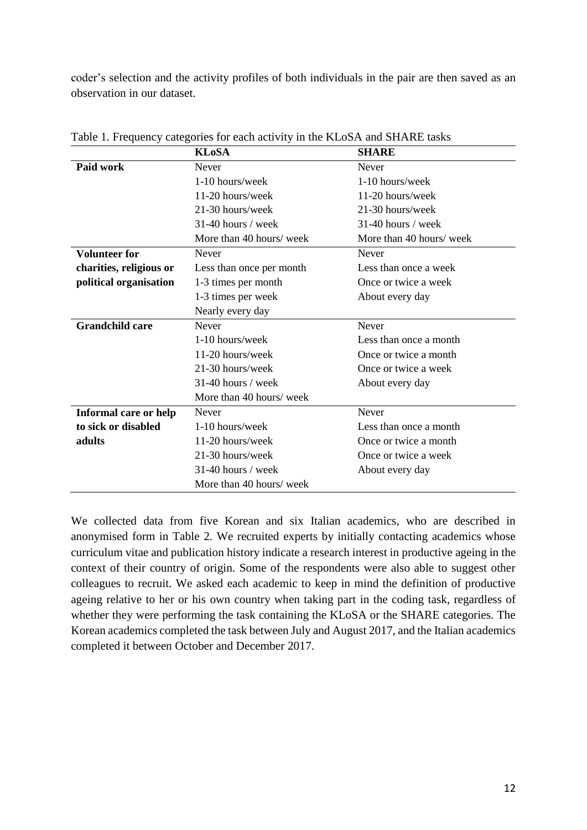coder's selection and the activity profiles of both individuals in the pair are then saved as an observation in our dataset.

|                         | <b>KLoSA</b>             | <b>SHARE</b>             |
|-------------------------|--------------------------|--------------------------|
| Paid work               | <b>Never</b>             | <b>Never</b>             |
|                         | $1-10$ hours/week        | $1-10$ hours/week        |
|                         | $11-20$ hours/week       | 11-20 hours/week         |
|                         | 21-30 hours/week         | 21-30 hours/week         |
|                         | 31-40 hours / week       | 31-40 hours / week       |
|                         | More than 40 hours/ week | More than 40 hours/ week |
| <b>Volunteer for</b>    | <b>Never</b>             | <b>Never</b>             |
| charities, religious or | Less than once per month | Less than once a week    |
| political organisation  | 1-3 times per month      | Once or twice a week     |
|                         | 1-3 times per week       | About every day          |
|                         | Nearly every day         |                          |
| <b>Grandchild care</b>  | <b>Never</b>             | Never                    |
|                         | 1-10 hours/week          | Less than once a month   |
|                         | 11-20 hours/week         | Once or twice a month    |
|                         | 21-30 hours/week         | Once or twice a week     |
|                         | $31-40$ hours / week     | About every day          |
|                         | More than 40 hours/ week |                          |
| Informal care or help   | <b>Never</b>             | Never                    |
| to sick or disabled     | 1-10 hours/week          | Less than once a month   |
| adults                  | $11-20$ hours/week       | Once or twice a month    |
|                         | 21-30 hours/week         | Once or twice a week     |
|                         | $31-40$ hours / week     | About every day          |
|                         | More than 40 hours/ week |                          |

Table 1. Frequency categories for each activity in the KLoSA and SHARE tasks

We collected data from five Korean and six Italian academics, who are described in anonymised form in Table 2. We recruited experts by initially contacting academics whose curriculum vitae and publication history indicate a research interest in productive ageing in the context of their country of origin. Some of the respondents were also able to suggest other colleagues to recruit. We asked each academic to keep in mind the definition of productive ageing relative to her or his own country when taking part in the coding task, regardless of whether they were performing the task containing the KLoSA or the SHARE categories. The Korean academics completed the task between July and August 2017, and the Italian academics completed it between October and December 2017.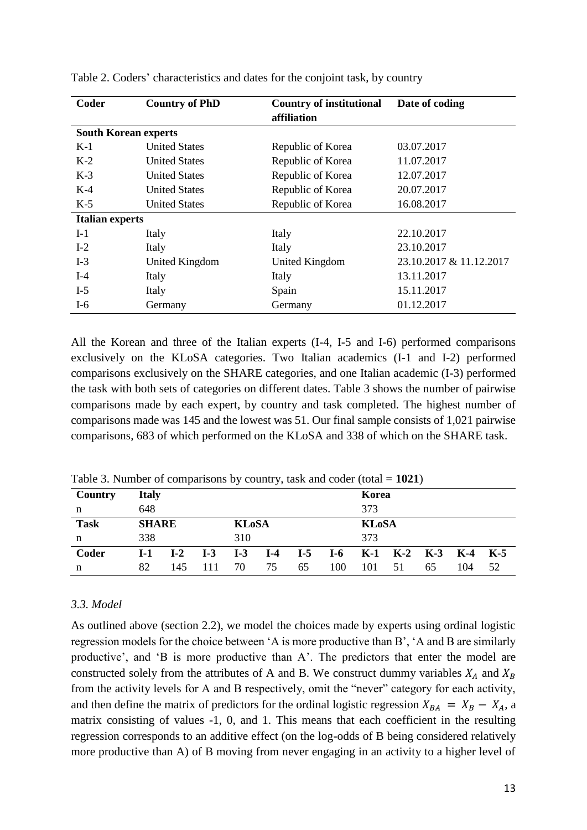| Coder                       | <b>Country of PhD</b> | <b>Country of institutional</b> | Date of coding          |
|-----------------------------|-----------------------|---------------------------------|-------------------------|
|                             |                       | affiliation                     |                         |
| <b>South Korean experts</b> |                       |                                 |                         |
| $K-1$                       | <b>United States</b>  | Republic of Korea               | 03.07.2017              |
| $K-2$                       | <b>United States</b>  | Republic of Korea               | 11.07.2017              |
| $K-3$                       | <b>United States</b>  | Republic of Korea               | 12.07.2017              |
| $K-4$                       | <b>United States</b>  | Republic of Korea               | 20.07.2017              |
| $K-5$                       | <b>United States</b>  | Republic of Korea               | 16.08.2017              |
| <b>Italian experts</b>      |                       |                                 |                         |
| $I-1$                       | Italy                 | Italy                           | 22.10.2017              |
| $I-2$                       | Italy                 | Italy                           | 23.10.2017              |
| $I-3$                       | United Kingdom        | United Kingdom                  | 23.10.2017 & 11.12.2017 |
| $I-4$                       | Italy                 | Italy                           | 13.11.2017              |
| $I-5$                       | Italy                 | Spain                           | 15.11.2017              |
| $I-6$                       | Germany               | Germany                         | 01.12.2017              |

Table 2. Coders' characteristics and dates for the conjoint task, by country

All the Korean and three of the Italian experts (I-4, I-5 and I-6) performed comparisons exclusively on the KLoSA categories. Two Italian academics (I-1 and I-2) performed comparisons exclusively on the SHARE categories, and one Italian academic (I-3) performed the task with both sets of categories on different dates. Table 3 shows the number of pairwise comparisons made by each expert, by country and task completed. The highest number of comparisons made was 145 and the lowest was 51. Our final sample consists of 1,021 pairwise comparisons, 683 of which performed on the KLoSA and 338 of which on the SHARE task.

| Table 5. Fourther of comparisons by country, task and couch (total – 1021) |                              |       |       |       |              |       |       |     |                   |    |         |    |
|----------------------------------------------------------------------------|------------------------------|-------|-------|-------|--------------|-------|-------|-----|-------------------|----|---------|----|
| Country                                                                    | <b>Italy</b>                 |       |       |       |              |       | Korea |     |                   |    |         |    |
| n                                                                          | 648                          |       |       |       |              | 373   |       |     |                   |    |         |    |
| <b>Task</b>                                                                | <b>SHARE</b><br><b>KLoSA</b> |       |       |       | <b>KLoSA</b> |       |       |     |                   |    |         |    |
| n                                                                          | 338                          |       | 310   |       |              | 373   |       |     |                   |    |         |    |
| Coder                                                                      | I-1                          | $I-2$ | $I-3$ | $I-3$ | $I-4$        | $I-5$ | $I-6$ |     | $K-1$ $K-2$ $K-3$ |    | K-4 K-5 |    |
| n                                                                          | 82                           | 145   |       | 70    | 75           | 65    | 100   | 101 | 51                | 65 | 104     | 52 |

Table 3. Number of comparisons by country, task and coder (total  $= 1021$ )

## *3.3. Model*

As outlined above (section 2.2), we model the choices made by experts using ordinal logistic regression models for the choice between 'A is more productive than B', 'A and B are similarly productive', and 'B is more productive than A'. The predictors that enter the model are constructed solely from the attributes of A and B. We construct dummy variables  $X_A$  and  $X_B$ from the activity levels for A and B respectively, omit the "never" category for each activity, and then define the matrix of predictors for the ordinal logistic regression  $X_{BA} = X_B - X_A$ , a matrix consisting of values -1, 0, and 1. This means that each coefficient in the resulting regression corresponds to an additive effect (on the log-odds of B being considered relatively more productive than A) of B moving from never engaging in an activity to a higher level of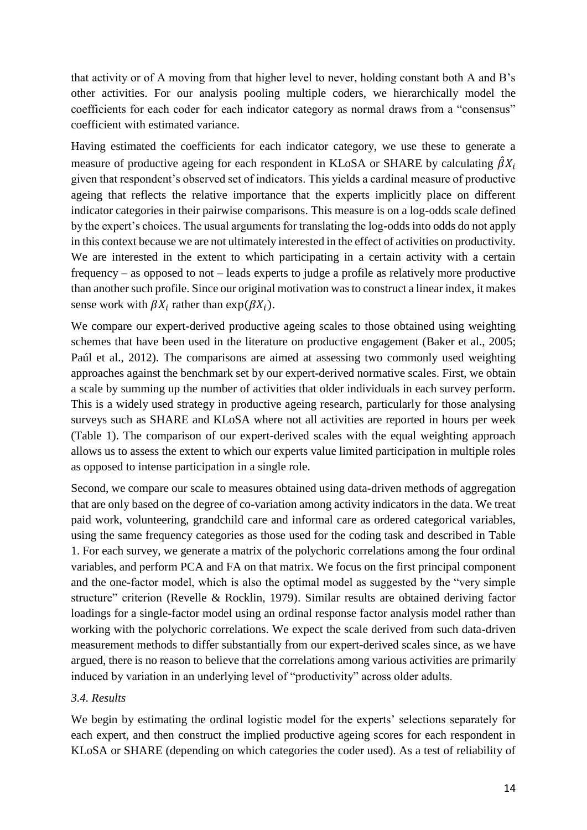that activity or of A moving from that higher level to never, holding constant both A and B's other activities. For our analysis pooling multiple coders, we hierarchically model the coefficients for each coder for each indicator category as normal draws from a "consensus" coefficient with estimated variance.

Having estimated the coefficients for each indicator category, we use these to generate a measure of productive ageing for each respondent in KLoSA or SHARE by calculating  $\hat{\beta}X_i$ given that respondent's observed set of indicators. This yields a cardinal measure of productive ageing that reflects the relative importance that the experts implicitly place on different indicator categories in their pairwise comparisons. This measure is on a log-odds scale defined by the expert's choices. The usual arguments for translating the log-odds into odds do not apply in this context because we are not ultimately interested in the effect of activities on productivity. We are interested in the extent to which participating in a certain activity with a certain frequency – as opposed to not – leads experts to judge a profile as relatively more productive than another such profile. Since our original motivation was to construct a linear index, it makes sense work with  $\beta X_i$  rather than  $\exp(\beta X_i)$ .

We compare our expert-derived productive ageing scales to those obtained using weighting schemes that have been used in the literature on productive engagement (Baker et al., 2005; Paúl et al., 2012). The comparisons are aimed at assessing two commonly used weighting approaches against the benchmark set by our expert-derived normative scales. First, we obtain a scale by summing up the number of activities that older individuals in each survey perform. This is a widely used strategy in productive ageing research, particularly for those analysing surveys such as SHARE and KLoSA where not all activities are reported in hours per week (Table 1). The comparison of our expert-derived scales with the equal weighting approach allows us to assess the extent to which our experts value limited participation in multiple roles as opposed to intense participation in a single role.

Second, we compare our scale to measures obtained using data-driven methods of aggregation that are only based on the degree of co-variation among activity indicators in the data. We treat paid work, volunteering, grandchild care and informal care as ordered categorical variables, using the same frequency categories as those used for the coding task and described in Table 1. For each survey, we generate a matrix of the polychoric correlations among the four ordinal variables, and perform PCA and FA on that matrix. We focus on the first principal component and the one-factor model, which is also the optimal model as suggested by the "very simple structure" criterion (Revelle & Rocklin, 1979). Similar results are obtained deriving factor loadings for a single-factor model using an ordinal response factor analysis model rather than working with the polychoric correlations. We expect the scale derived from such data-driven measurement methods to differ substantially from our expert-derived scales since, as we have argued, there is no reason to believe that the correlations among various activities are primarily induced by variation in an underlying level of "productivity" across older adults.

### *3.4. Results*

We begin by estimating the ordinal logistic model for the experts' selections separately for each expert, and then construct the implied productive ageing scores for each respondent in KLoSA or SHARE (depending on which categories the coder used). As a test of reliability of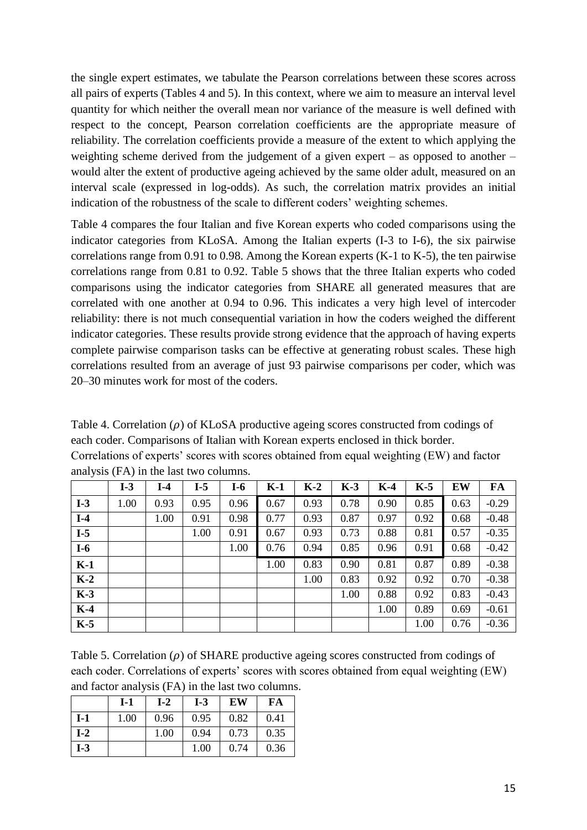the single expert estimates, we tabulate the Pearson correlations between these scores across all pairs of experts (Tables 4 and 5). In this context, where we aim to measure an interval level quantity for which neither the overall mean nor variance of the measure is well defined with respect to the concept, Pearson correlation coefficients are the appropriate measure of reliability. The correlation coefficients provide a measure of the extent to which applying the weighting scheme derived from the judgement of a given expert – as opposed to another – would alter the extent of productive ageing achieved by the same older adult, measured on an interval scale (expressed in log-odds). As such, the correlation matrix provides an initial indication of the robustness of the scale to different coders' weighting schemes.

Table 4 compares the four Italian and five Korean experts who coded comparisons using the indicator categories from KLoSA. Among the Italian experts (I-3 to I-6), the six pairwise correlations range from 0.91 to 0.98. Among the Korean experts (K-1 to K-5), the ten pairwise correlations range from 0.81 to 0.92. Table 5 shows that the three Italian experts who coded comparisons using the indicator categories from SHARE all generated measures that are correlated with one another at 0.94 to 0.96. This indicates a very high level of intercoder reliability: there is not much consequential variation in how the coders weighed the different indicator categories. These results provide strong evidence that the approach of having experts complete pairwise comparison tasks can be effective at generating robust scales. These high correlations resulted from an average of just 93 pairwise comparisons per coder, which was 20–30 minutes work for most of the coders.

Table 4. Correlation  $(\rho)$  of KLoSA productive ageing scores constructed from codings of each coder. Comparisons of Italian with Korean experts enclosed in thick border. Correlations of experts' scores with scores obtained from equal weighting (EW) and factor analysis (FA) in the last two columns.

|       | $I-3$ | $I-4$ | $I-5$ | $I-6$ | $K-1$ | $K-2$ | $K-3$ | $K-4$ | $K-5$ | EW   | FA      |
|-------|-------|-------|-------|-------|-------|-------|-------|-------|-------|------|---------|
| $I-3$ | 1.00  | 0.93  | 0.95  | 0.96  | 0.67  | 0.93  | 0.78  | 0.90  | 0.85  | 0.63 | $-0.29$ |
| $I-4$ |       | 1.00  | 0.91  | 0.98  | 0.77  | 0.93  | 0.87  | 0.97  | 0.92  | 0.68 | $-0.48$ |
| $I-5$ |       |       | 1.00  | 0.91  | 0.67  | 0.93  | 0.73  | 0.88  | 0.81  | 0.57 | $-0.35$ |
| $I-6$ |       |       |       | 1.00  | 0.76  | 0.94  | 0.85  | 0.96  | 0.91  | 0.68 | $-0.42$ |
| $K-1$ |       |       |       |       | 1.00  | 0.83  | 0.90  | 0.81  | 0.87  | 0.89 | $-0.38$ |
| $K-2$ |       |       |       |       |       | 1.00  | 0.83  | 0.92  | 0.92  | 0.70 | $-0.38$ |
| $K-3$ |       |       |       |       |       |       | 1.00  | 0.88  | 0.92  | 0.83 | $-0.43$ |
| $K-4$ |       |       |       |       |       |       |       | 1.00  | 0.89  | 0.69 | $-0.61$ |
| $K-5$ |       |       |       |       |       |       |       |       | 1.00  | 0.76 | $-0.36$ |

Table 5. Correlation  $(\rho)$  of SHARE productive ageing scores constructed from codings of each coder. Correlations of experts' scores with scores obtained from equal weighting (EW) and factor analysis (FA) in the last two columns.

|       | $I-1$ | $I-2$ | $I-3$ | EW   | FA   |
|-------|-------|-------|-------|------|------|
| $I-1$ | 1.00  | 0.96  | 0.95  | 0.82 | 0.41 |
| $I-2$ |       | 1.00  | 0.94  | 0.73 | 0.35 |
| $I-3$ |       |       | 1.00  | 0.74 | 0.36 |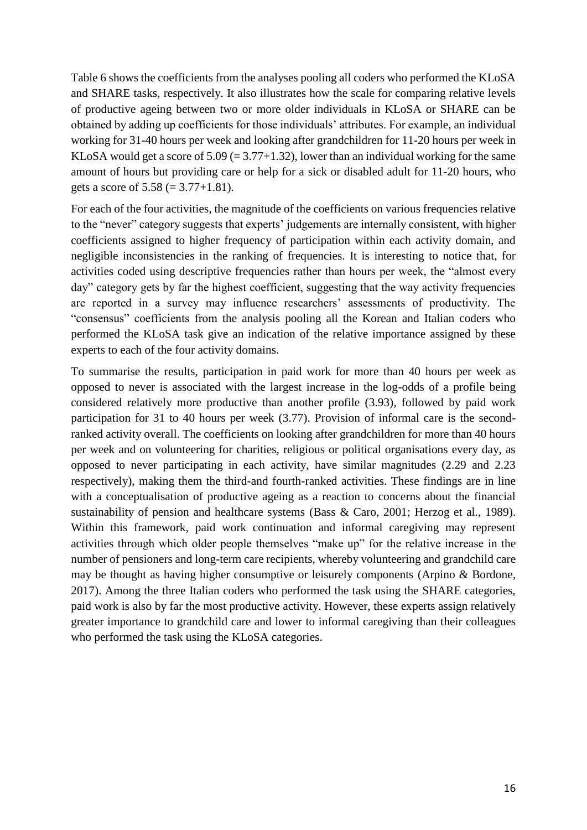Table 6 shows the coefficients from the analyses pooling all coders who performed the KLoSA and SHARE tasks, respectively. It also illustrates how the scale for comparing relative levels of productive ageing between two or more older individuals in KLoSA or SHARE can be obtained by adding up coefficients for those individuals' attributes. For example, an individual working for 31-40 hours per week and looking after grandchildren for 11-20 hours per week in KLoSA would get a score of  $5.09 (= 3.77+1.32)$ , lower than an individual working for the same amount of hours but providing care or help for a sick or disabled adult for 11-20 hours, who gets a score of  $5.58 (= 3.77+1.81)$ .

For each of the four activities, the magnitude of the coefficients on various frequencies relative to the "never" category suggests that experts' judgements are internally consistent, with higher coefficients assigned to higher frequency of participation within each activity domain, and negligible inconsistencies in the ranking of frequencies. It is interesting to notice that, for activities coded using descriptive frequencies rather than hours per week, the "almost every day" category gets by far the highest coefficient, suggesting that the way activity frequencies are reported in a survey may influence researchers' assessments of productivity. The "consensus" coefficients from the analysis pooling all the Korean and Italian coders who performed the KLoSA task give an indication of the relative importance assigned by these experts to each of the four activity domains.

To summarise the results, participation in paid work for more than 40 hours per week as opposed to never is associated with the largest increase in the log-odds of a profile being considered relatively more productive than another profile (3.93), followed by paid work participation for 31 to 40 hours per week (3.77). Provision of informal care is the secondranked activity overall. The coefficients on looking after grandchildren for more than 40 hours per week and on volunteering for charities, religious or political organisations every day, as opposed to never participating in each activity, have similar magnitudes (2.29 and 2.23 respectively), making them the third-and fourth-ranked activities. These findings are in line with a conceptualisation of productive ageing as a reaction to concerns about the financial sustainability of pension and healthcare systems (Bass & Caro, 2001; Herzog et al., 1989). Within this framework, paid work continuation and informal caregiving may represent activities through which older people themselves "make up" for the relative increase in the number of pensioners and long-term care recipients, whereby volunteering and grandchild care may be thought as having higher consumptive or leisurely components (Arpino & Bordone, 2017). Among the three Italian coders who performed the task using the SHARE categories, paid work is also by far the most productive activity. However, these experts assign relatively greater importance to grandchild care and lower to informal caregiving than their colleagues who performed the task using the KLoSA categories.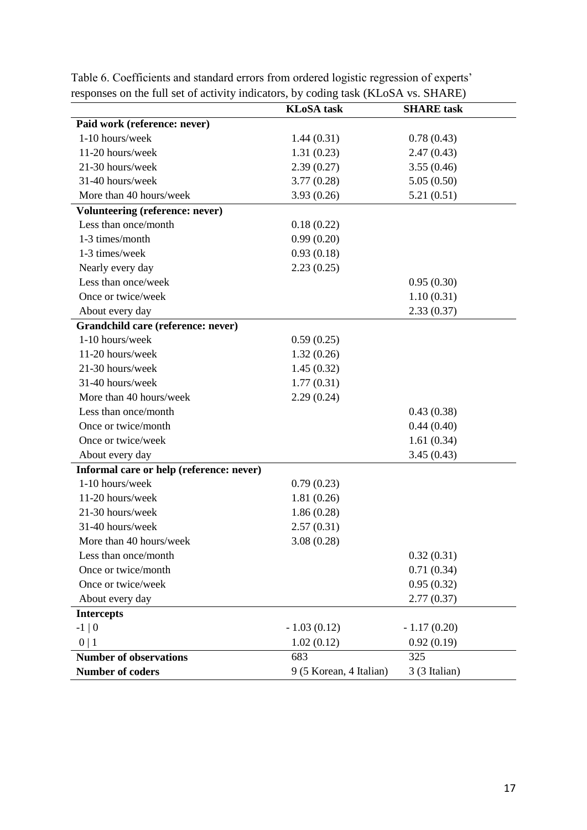|                                          | $\circ$<br><b>KLoSA</b> task | <b>SHARE</b> task |
|------------------------------------------|------------------------------|-------------------|
| Paid work (reference: never)             |                              |                   |
| 1-10 hours/week                          | 1.44(0.31)                   | 0.78(0.43)        |
| 11-20 hours/week                         | 1.31(0.23)                   | 2.47(0.43)        |
| 21-30 hours/week                         | 2.39(0.27)                   | 3.55(0.46)        |
| 31-40 hours/week                         | 3.77(0.28)                   | 5.05(0.50)        |
| More than 40 hours/week                  | 3.93(0.26)                   | 5.21(0.51)        |
| Volunteering (reference: never)          |                              |                   |
| Less than once/month                     | 0.18(0.22)                   |                   |
| 1-3 times/month                          | 0.99(0.20)                   |                   |
| 1-3 times/week                           | 0.93(0.18)                   |                   |
| Nearly every day                         | 2.23(0.25)                   |                   |
| Less than once/week                      |                              | 0.95(0.30)        |
| Once or twice/week                       |                              | 1.10(0.31)        |
| About every day                          |                              | 2.33(0.37)        |
| Grandchild care (reference: never)       |                              |                   |
| 1-10 hours/week                          | 0.59(0.25)                   |                   |
| 11-20 hours/week                         | 1.32(0.26)                   |                   |
| 21-30 hours/week                         | 1.45(0.32)                   |                   |
| 31-40 hours/week                         | 1.77(0.31)                   |                   |
| More than 40 hours/week                  | 2.29(0.24)                   |                   |
| Less than once/month                     |                              | 0.43(0.38)        |
| Once or twice/month                      |                              | 0.44(0.40)        |
| Once or twice/week                       |                              | 1.61(0.34)        |
| About every day                          |                              | 3.45(0.43)        |
| Informal care or help (reference: never) |                              |                   |
| 1-10 hours/week                          | 0.79(0.23)                   |                   |
| 11-20 hours/week                         | 1.81(0.26)                   |                   |
| 21-30 hours/week                         | 1.86(0.28)                   |                   |
| 31-40 hours/week                         | 2.57(0.31)                   |                   |
| More than 40 hours/week                  | 3.08(0.28)                   |                   |
| Less than once/month                     |                              | 0.32(0.31)        |
| Once or twice/month                      |                              | 0.71(0.34)        |
| Once or twice/week                       |                              | 0.95(0.32)        |
| About every day                          |                              | 2.77(0.37)        |
| <b>Intercepts</b>                        |                              |                   |
| $-1 \,   \, 0$                           | $-1.03(0.12)$                | $-1.17(0.20)$     |
| 0 1                                      | 1.02(0.12)                   | 0.92(0.19)        |
| <b>Number of observations</b>            | 683                          | 325               |
| <b>Number of coders</b>                  | 9 (5 Korean, 4 Italian)      | 3 (3 Italian)     |

Table 6. Coefficients and standard errors from ordered logistic regression of experts' responses on the full set of activity indicators, by coding task (KLoSA vs. SHARE)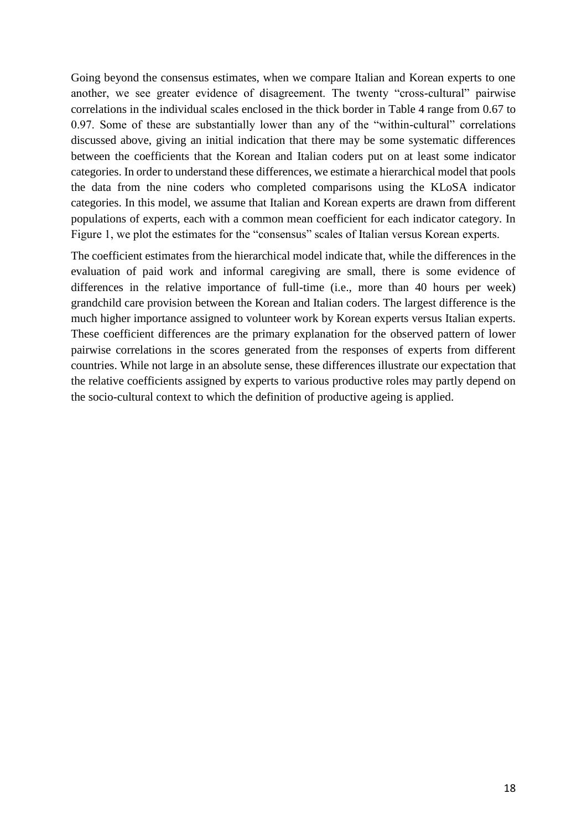Going beyond the consensus estimates, when we compare Italian and Korean experts to one another, we see greater evidence of disagreement. The twenty "cross-cultural" pairwise correlations in the individual scales enclosed in the thick border in Table 4 range from 0.67 to 0.97. Some of these are substantially lower than any of the "within-cultural" correlations discussed above, giving an initial indication that there may be some systematic differences between the coefficients that the Korean and Italian coders put on at least some indicator categories. In order to understand these differences, we estimate a hierarchical model that pools the data from the nine coders who completed comparisons using the KLoSA indicator categories. In this model, we assume that Italian and Korean experts are drawn from different populations of experts, each with a common mean coefficient for each indicator category. In Figure 1, we plot the estimates for the "consensus" scales of Italian versus Korean experts.

The coefficient estimates from the hierarchical model indicate that, while the differences in the evaluation of paid work and informal caregiving are small, there is some evidence of differences in the relative importance of full-time (i.e., more than 40 hours per week) grandchild care provision between the Korean and Italian coders. The largest difference is the much higher importance assigned to volunteer work by Korean experts versus Italian experts. These coefficient differences are the primary explanation for the observed pattern of lower pairwise correlations in the scores generated from the responses of experts from different countries. While not large in an absolute sense, these differences illustrate our expectation that the relative coefficients assigned by experts to various productive roles may partly depend on the socio-cultural context to which the definition of productive ageing is applied.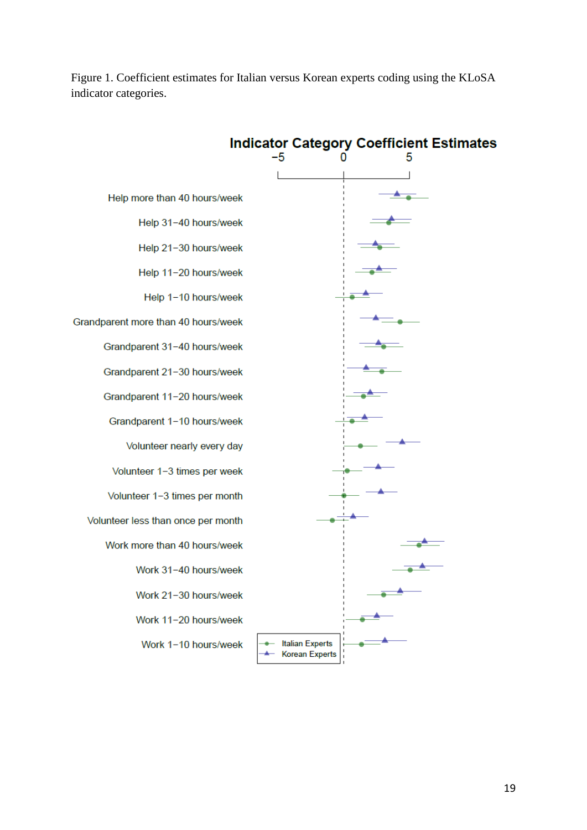Figure 1. Coefficient estimates for Italian versus Korean experts coding using the KLoSA indicator categories.

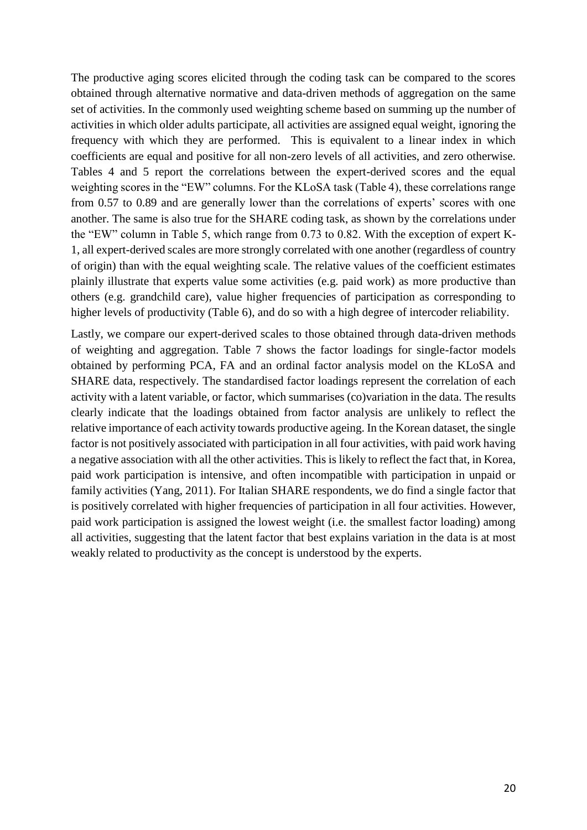The productive aging scores elicited through the coding task can be compared to the scores obtained through alternative normative and data-driven methods of aggregation on the same set of activities. In the commonly used weighting scheme based on summing up the number of activities in which older adults participate, all activities are assigned equal weight, ignoring the frequency with which they are performed. This is equivalent to a linear index in which coefficients are equal and positive for all non-zero levels of all activities, and zero otherwise. Tables 4 and 5 report the correlations between the expert-derived scores and the equal weighting scores in the "EW" columns. For the KLoSA task (Table 4), these correlations range from 0.57 to 0.89 and are generally lower than the correlations of experts' scores with one another. The same is also true for the SHARE coding task, as shown by the correlations under the "EW" column in Table 5, which range from 0.73 to 0.82. With the exception of expert K-1, all expert-derived scales are more strongly correlated with one another (regardless of country of origin) than with the equal weighting scale. The relative values of the coefficient estimates plainly illustrate that experts value some activities (e.g. paid work) as more productive than others (e.g. grandchild care), value higher frequencies of participation as corresponding to higher levels of productivity (Table 6), and do so with a high degree of intercoder reliability.

Lastly, we compare our expert-derived scales to those obtained through data-driven methods of weighting and aggregation. Table 7 shows the factor loadings for single-factor models obtained by performing PCA, FA and an ordinal factor analysis model on the KLoSA and SHARE data, respectively. The standardised factor loadings represent the correlation of each activity with a latent variable, or factor, which summarises (co)variation in the data. The results clearly indicate that the loadings obtained from factor analysis are unlikely to reflect the relative importance of each activity towards productive ageing. In the Korean dataset, the single factor is not positively associated with participation in all four activities, with paid work having a negative association with all the other activities. This is likely to reflect the fact that, in Korea, paid work participation is intensive, and often incompatible with participation in unpaid or family activities (Yang, 2011). For Italian SHARE respondents, we do find a single factor that is positively correlated with higher frequencies of participation in all four activities. However, paid work participation is assigned the lowest weight (i.e. the smallest factor loading) among all activities, suggesting that the latent factor that best explains variation in the data is at most weakly related to productivity as the concept is understood by the experts.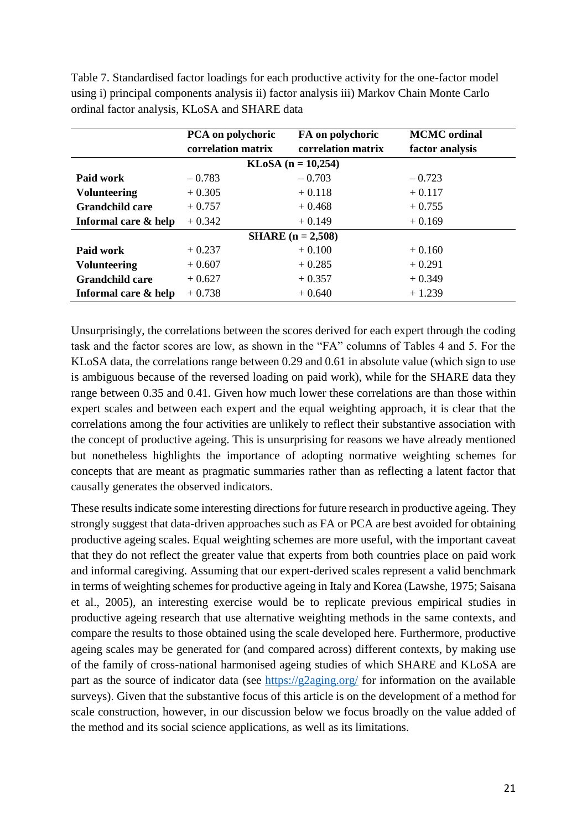Table 7. Standardised factor loadings for each productive activity for the one-factor model using i) principal components analysis ii) factor analysis iii) Markov Chain Monte Carlo ordinal factor analysis, KLoSA and SHARE data

|                        | PCA on polychoric  | FA on polychoric            | <b>MCMC</b> ordinal |
|------------------------|--------------------|-----------------------------|---------------------|
|                        | correlation matrix | correlation matrix          | factor analysis     |
|                        |                    | <b>KLoSA</b> $(n = 10,254)$ |                     |
| Paid work              | $-0.783$           | $-0.703$                    | $-0.723$            |
| <b>Volunteering</b>    | $+0.305$           | $+0.118$                    | $+0.117$            |
| <b>Grandchild care</b> | $+0.757$           | $+0.468$                    | $+0.755$            |
| Informal care & help   | $+0.342$           | $+0.149$                    | $+0.169$            |
|                        |                    | <b>SHARE</b> $(n = 2,508)$  |                     |
| Paid work              | $+0.237$           | $+0.100$                    | $+0.160$            |
| <b>Volunteering</b>    | $+0.607$           | $+0.285$                    | $+0.291$            |
| Grandchild care        | $+0.627$           | $+0.357$                    | $+0.349$            |
| Informal care & help   | $+0.738$           | $+0.640$                    | $+1.239$            |

Unsurprisingly, the correlations between the scores derived for each expert through the coding task and the factor scores are low, as shown in the "FA" columns of Tables 4 and 5. For the KLoSA data, the correlations range between 0.29 and 0.61 in absolute value (which sign to use is ambiguous because of the reversed loading on paid work), while for the SHARE data they range between 0.35 and 0.41. Given how much lower these correlations are than those within expert scales and between each expert and the equal weighting approach, it is clear that the correlations among the four activities are unlikely to reflect their substantive association with the concept of productive ageing. This is unsurprising for reasons we have already mentioned but nonetheless highlights the importance of adopting normative weighting schemes for concepts that are meant as pragmatic summaries rather than as reflecting a latent factor that causally generates the observed indicators.

These results indicate some interesting directions for future research in productive ageing. They strongly suggest that data-driven approaches such as FA or PCA are best avoided for obtaining productive ageing scales. Equal weighting schemes are more useful, with the important caveat that they do not reflect the greater value that experts from both countries place on paid work and informal caregiving. Assuming that our expert-derived scales represent a valid benchmark in terms of weighting schemes for productive ageing in Italy and Korea (Lawshe, 1975; Saisana et al., 2005), an interesting exercise would be to replicate previous empirical studies in productive ageing research that use alternative weighting methods in the same contexts, and compare the results to those obtained using the scale developed here. Furthermore, productive ageing scales may be generated for (and compared across) different contexts, by making use of the family of cross-national harmonised ageing studies of which SHARE and KLoSA are part as the source of indicator data (see<https://g2aging.org/> for information on the available surveys). Given that the substantive focus of this article is on the development of a method for scale construction, however, in our discussion below we focus broadly on the value added of the method and its social science applications, as well as its limitations.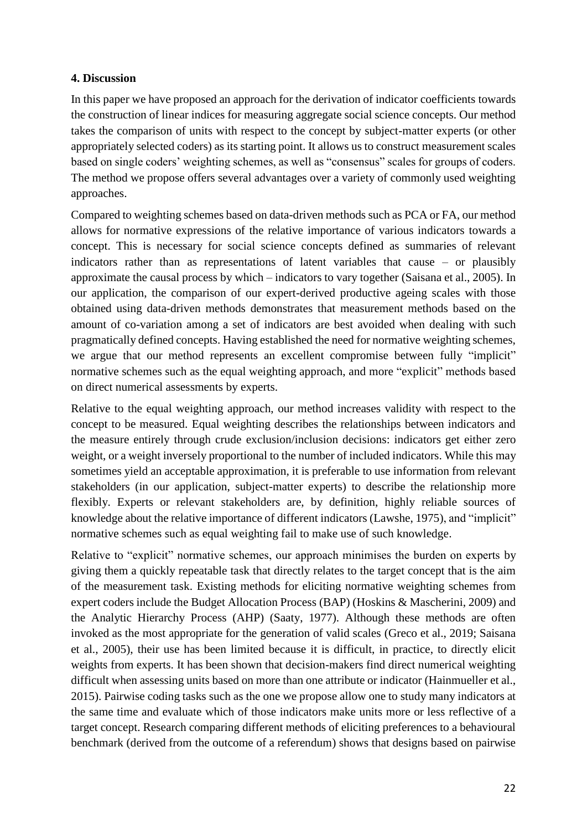# **4. Discussion**

In this paper we have proposed an approach for the derivation of indicator coefficients towards the construction of linear indices for measuring aggregate social science concepts. Our method takes the comparison of units with respect to the concept by subject-matter experts (or other appropriately selected coders) as its starting point. It allows us to construct measurement scales based on single coders' weighting schemes, as well as "consensus" scales for groups of coders. The method we propose offers several advantages over a variety of commonly used weighting approaches.

Compared to weighting schemes based on data-driven methods such as PCA or FA, our method allows for normative expressions of the relative importance of various indicators towards a concept. This is necessary for social science concepts defined as summaries of relevant indicators rather than as representations of latent variables that cause – or plausibly approximate the causal process by which – indicators to vary together (Saisana et al., 2005). In our application, the comparison of our expert-derived productive ageing scales with those obtained using data-driven methods demonstrates that measurement methods based on the amount of co-variation among a set of indicators are best avoided when dealing with such pragmatically defined concepts. Having established the need for normative weighting schemes, we argue that our method represents an excellent compromise between fully "implicit" normative schemes such as the equal weighting approach, and more "explicit" methods based on direct numerical assessments by experts.

Relative to the equal weighting approach, our method increases validity with respect to the concept to be measured. Equal weighting describes the relationships between indicators and the measure entirely through crude exclusion/inclusion decisions: indicators get either zero weight, or a weight inversely proportional to the number of included indicators. While this may sometimes yield an acceptable approximation, it is preferable to use information from relevant stakeholders (in our application, subject-matter experts) to describe the relationship more flexibly. Experts or relevant stakeholders are, by definition, highly reliable sources of knowledge about the relative importance of different indicators (Lawshe, 1975), and "implicit" normative schemes such as equal weighting fail to make use of such knowledge.

Relative to "explicit" normative schemes, our approach minimises the burden on experts by giving them a quickly repeatable task that directly relates to the target concept that is the aim of the measurement task. Existing methods for eliciting normative weighting schemes from expert coders include the Budget Allocation Process (BAP) (Hoskins & Mascherini, 2009) and the Analytic Hierarchy Process (AHP) (Saaty, 1977). Although these methods are often invoked as the most appropriate for the generation of valid scales (Greco et al., 2019; Saisana et al., 2005), their use has been limited because it is difficult, in practice, to directly elicit weights from experts. It has been shown that decision-makers find direct numerical weighting difficult when assessing units based on more than one attribute or indicator (Hainmueller et al., 2015). Pairwise coding tasks such as the one we propose allow one to study many indicators at the same time and evaluate which of those indicators make units more or less reflective of a target concept. Research comparing different methods of eliciting preferences to a behavioural benchmark (derived from the outcome of a referendum) shows that designs based on pairwise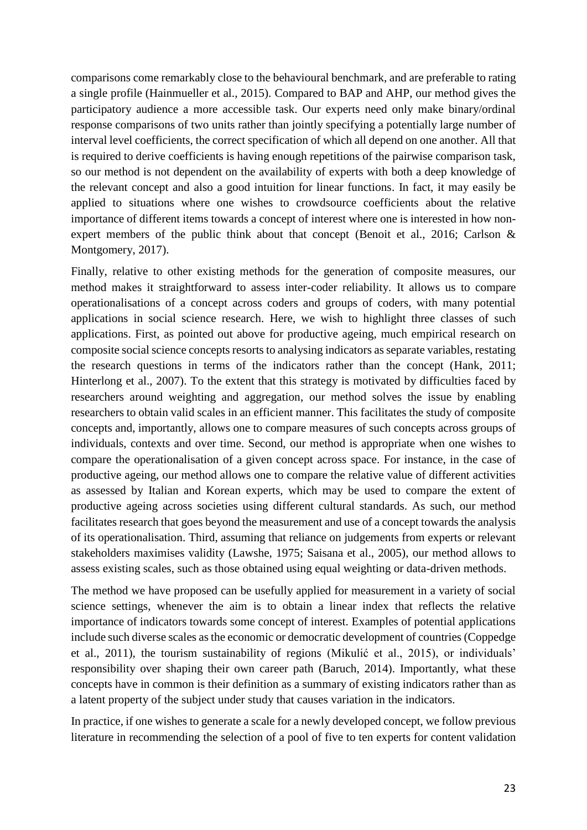comparisons come remarkably close to the behavioural benchmark, and are preferable to rating a single profile (Hainmueller et al., 2015). Compared to BAP and AHP, our method gives the participatory audience a more accessible task. Our experts need only make binary/ordinal response comparisons of two units rather than jointly specifying a potentially large number of interval level coefficients, the correct specification of which all depend on one another. All that is required to derive coefficients is having enough repetitions of the pairwise comparison task, so our method is not dependent on the availability of experts with both a deep knowledge of the relevant concept and also a good intuition for linear functions. In fact, it may easily be applied to situations where one wishes to crowdsource coefficients about the relative importance of different items towards a concept of interest where one is interested in how nonexpert members of the public think about that concept (Benoit et al., 2016; Carlson & Montgomery, 2017).

Finally, relative to other existing methods for the generation of composite measures, our method makes it straightforward to assess inter-coder reliability. It allows us to compare operationalisations of a concept across coders and groups of coders, with many potential applications in social science research. Here, we wish to highlight three classes of such applications. First, as pointed out above for productive ageing, much empirical research on composite social science concepts resorts to analysing indicators as separate variables, restating the research questions in terms of the indicators rather than the concept (Hank, 2011; Hinterlong et al., 2007). To the extent that this strategy is motivated by difficulties faced by researchers around weighting and aggregation, our method solves the issue by enabling researchers to obtain valid scales in an efficient manner. This facilitates the study of composite concepts and, importantly, allows one to compare measures of such concepts across groups of individuals, contexts and over time. Second, our method is appropriate when one wishes to compare the operationalisation of a given concept across space. For instance, in the case of productive ageing, our method allows one to compare the relative value of different activities as assessed by Italian and Korean experts, which may be used to compare the extent of productive ageing across societies using different cultural standards. As such, our method facilitates research that goes beyond the measurement and use of a concept towards the analysis of its operationalisation. Third, assuming that reliance on judgements from experts or relevant stakeholders maximises validity (Lawshe, 1975; Saisana et al., 2005), our method allows to assess existing scales, such as those obtained using equal weighting or data-driven methods.

The method we have proposed can be usefully applied for measurement in a variety of social science settings, whenever the aim is to obtain a linear index that reflects the relative importance of indicators towards some concept of interest. Examples of potential applications include such diverse scales as the economic or democratic development of countries (Coppedge et al., 2011), the tourism sustainability of regions (Mikulić et al., 2015), or individuals' responsibility over shaping their own career path (Baruch, 2014). Importantly, what these concepts have in common is their definition as a summary of existing indicators rather than as a latent property of the subject under study that causes variation in the indicators.

In practice, if one wishes to generate a scale for a newly developed concept, we follow previous literature in recommending the selection of a pool of five to ten experts for content validation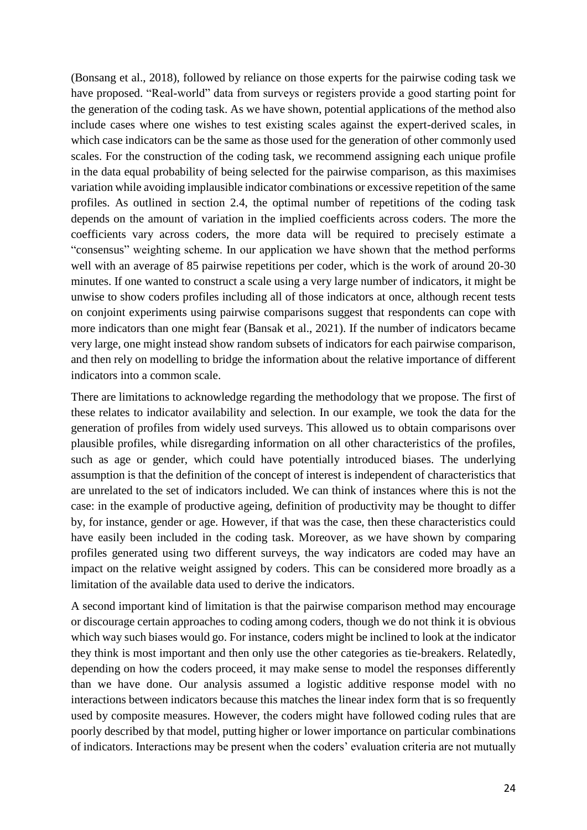(Bonsang et al., 2018), followed by reliance on those experts for the pairwise coding task we have proposed. "Real-world" data from surveys or registers provide a good starting point for the generation of the coding task. As we have shown, potential applications of the method also include cases where one wishes to test existing scales against the expert-derived scales, in which case indicators can be the same as those used for the generation of other commonly used scales. For the construction of the coding task, we recommend assigning each unique profile in the data equal probability of being selected for the pairwise comparison, as this maximises variation while avoiding implausible indicator combinations or excessive repetition of the same profiles. As outlined in section 2.4, the optimal number of repetitions of the coding task depends on the amount of variation in the implied coefficients across coders. The more the coefficients vary across coders, the more data will be required to precisely estimate a "consensus" weighting scheme. In our application we have shown that the method performs well with an average of 85 pairwise repetitions per coder, which is the work of around 20-30 minutes. If one wanted to construct a scale using a very large number of indicators, it might be unwise to show coders profiles including all of those indicators at once, although recent tests on conjoint experiments using pairwise comparisons suggest that respondents can cope with more indicators than one might fear (Bansak et al., 2021). If the number of indicators became very large, one might instead show random subsets of indicators for each pairwise comparison, and then rely on modelling to bridge the information about the relative importance of different indicators into a common scale.

There are limitations to acknowledge regarding the methodology that we propose. The first of these relates to indicator availability and selection. In our example, we took the data for the generation of profiles from widely used surveys. This allowed us to obtain comparisons over plausible profiles, while disregarding information on all other characteristics of the profiles, such as age or gender, which could have potentially introduced biases. The underlying assumption is that the definition of the concept of interest is independent of characteristics that are unrelated to the set of indicators included. We can think of instances where this is not the case: in the example of productive ageing, definition of productivity may be thought to differ by, for instance, gender or age. However, if that was the case, then these characteristics could have easily been included in the coding task. Moreover, as we have shown by comparing profiles generated using two different surveys, the way indicators are coded may have an impact on the relative weight assigned by coders. This can be considered more broadly as a limitation of the available data used to derive the indicators.

A second important kind of limitation is that the pairwise comparison method may encourage or discourage certain approaches to coding among coders, though we do not think it is obvious which way such biases would go. For instance, coders might be inclined to look at the indicator they think is most important and then only use the other categories as tie-breakers. Relatedly, depending on how the coders proceed, it may make sense to model the responses differently than we have done. Our analysis assumed a logistic additive response model with no interactions between indicators because this matches the linear index form that is so frequently used by composite measures. However, the coders might have followed coding rules that are poorly described by that model, putting higher or lower importance on particular combinations of indicators. Interactions may be present when the coders' evaluation criteria are not mutually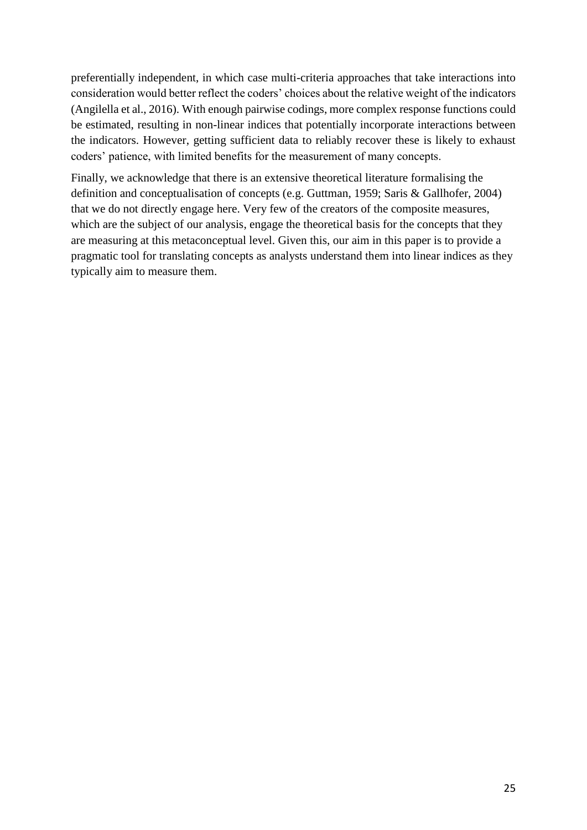preferentially independent, in which case multi-criteria approaches that take interactions into consideration would better reflect the coders' choices about the relative weight of the indicators (Angilella et al., 2016). With enough pairwise codings, more complex response functions could be estimated, resulting in non-linear indices that potentially incorporate interactions between the indicators. However, getting sufficient data to reliably recover these is likely to exhaust coders' patience, with limited benefits for the measurement of many concepts.

Finally, we acknowledge that there is an extensive theoretical literature formalising the definition and conceptualisation of concepts (e.g. Guttman, 1959; Saris & Gallhofer, 2004) that we do not directly engage here. Very few of the creators of the composite measures, which are the subject of our analysis, engage the theoretical basis for the concepts that they are measuring at this metaconceptual level. Given this, our aim in this paper is to provide a pragmatic tool for translating concepts as analysts understand them into linear indices as they typically aim to measure them.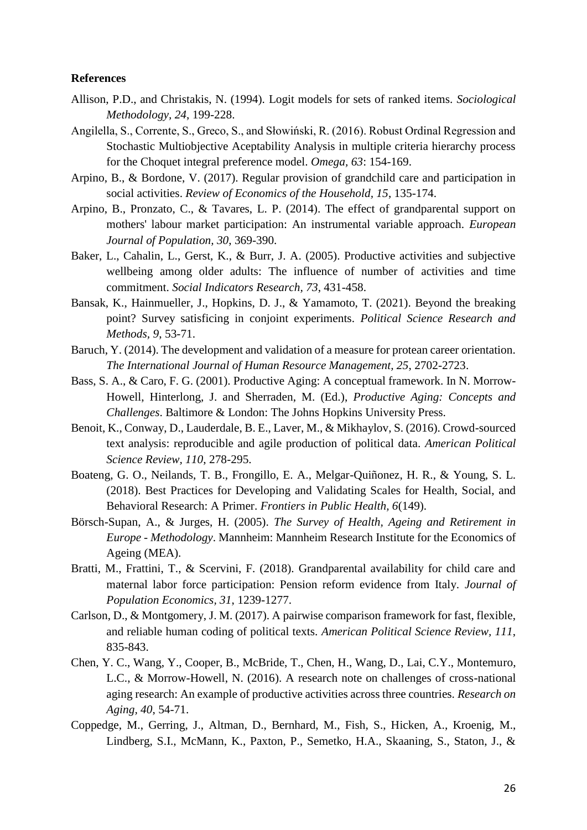### **References**

- Allison, P.D., and Christakis, N. (1994). Logit models for sets of ranked items. *Sociological Methodology, 24*, 199-228.
- Angilella, S., Corrente, S., Greco, S., and Słowiński, R. (2016). Robust Ordinal Regression and Stochastic Multiobjective Aceptability Analysis in multiple criteria hierarchy process for the Choquet integral preference model. *Omega, 63*: 154-169.
- Arpino, B., & Bordone, V. (2017). Regular provision of grandchild care and participation in social activities. *Review of Economics of the Household, 15*, 135-174.
- Arpino, B., Pronzato, C., & Tavares, L. P. (2014). The effect of grandparental support on mothers' labour market participation: An instrumental variable approach. *European Journal of Population, 30*, 369-390.
- Baker, L., Cahalin, L., Gerst, K., & Burr, J. A. (2005). Productive activities and subjective wellbeing among older adults: The influence of number of activities and time commitment. *Social Indicators Research, 73*, 431-458.
- Bansak, K., Hainmueller, J., Hopkins, D. J., & Yamamoto, T. (2021). Beyond the breaking point? Survey satisficing in conjoint experiments. *Political Science Research and Methods, 9*, 53-71.
- Baruch, Y. (2014). The development and validation of a measure for protean career orientation. *The International Journal of Human Resource Management, 25*, 2702-2723.
- Bass, S. A., & Caro, F. G. (2001). Productive Aging: A conceptual framework. In N. Morrow-Howell, Hinterlong, J. and Sherraden, M. (Ed.), *Productive Aging: Concepts and Challenges*. Baltimore & London: The Johns Hopkins University Press.
- Benoit, K., Conway, D., Lauderdale, B. E., Laver, M., & Mikhaylov, S. (2016). Crowd-sourced text analysis: reproducible and agile production of political data. *American Political Science Review, 110*, 278-295.
- Boateng, G. O., Neilands, T. B., Frongillo, E. A., Melgar-Quiñonez, H. R., & Young, S. L. (2018). Best Practices for Developing and Validating Scales for Health, Social, and Behavioral Research: A Primer. *Frontiers in Public Health, 6*(149).
- Börsch-Supan, A., & Jurges, H. (2005). *The Survey of Health, Ageing and Retirement in Europe - Methodology*. Mannheim: Mannheim Research Institute for the Economics of Ageing (MEA).
- Bratti, M., Frattini, T., & Scervini, F. (2018). Grandparental availability for child care and maternal labor force participation: Pension reform evidence from Italy. *Journal of Population Economics, 31*, 1239-1277.
- Carlson, D., & Montgomery, J. M. (2017). A pairwise comparison framework for fast, flexible, and reliable human coding of political texts. *American Political Science Review, 111*, 835-843.
- Chen, Y. C., Wang, Y., Cooper, B., McBride, T., Chen, H., Wang, D., Lai, C.Y., Montemuro, L.C., & Morrow-Howell, N. (2016). A research note on challenges of cross-national aging research: An example of productive activities across three countries. *Research on Aging, 40*, 54-71.
- Coppedge, M., Gerring, J., Altman, D., Bernhard, M., Fish, S., Hicken, A., Kroenig, M., Lindberg, S.I., McMann, K., Paxton, P., Semetko, H.A., Skaaning, S., Staton, J., &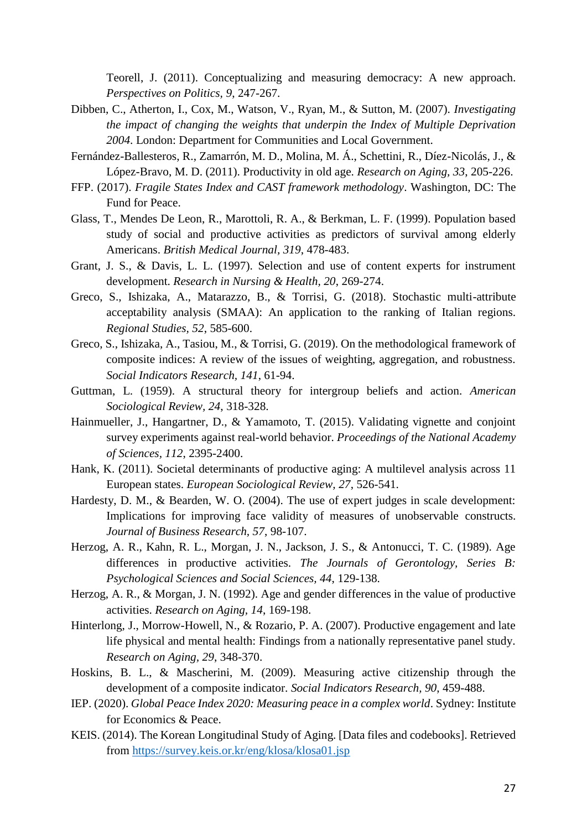Teorell, J. (2011). Conceptualizing and measuring democracy: A new approach. *Perspectives on Politics, 9*, 247-267.

- Dibben, C., Atherton, I., Cox, M., Watson, V., Ryan, M., & Sutton, M. (2007). *Investigating the impact of changing the weights that underpin the Index of Multiple Deprivation 2004*. London: Department for Communities and Local Government.
- Fernández-Ballesteros, R., Zamarrón, M. D., Molina, M. Á., Schettini, R., Díez-Nicolás, J., & López-Bravo, M. D. (2011). Productivity in old age. *Research on Aging, 33*, 205-226.
- FFP. (2017). *Fragile States Index and CAST framework methodology*. Washington, DC: The Fund for Peace.
- Glass, T., Mendes De Leon, R., Marottoli, R. A., & Berkman, L. F. (1999). Population based study of social and productive activities as predictors of survival among elderly Americans. *British Medical Journal, 319*, 478-483.
- Grant, J. S., & Davis, L. L. (1997). Selection and use of content experts for instrument development. *Research in Nursing & Health, 20*, 269-274.
- Greco, S., Ishizaka, A., Matarazzo, B., & Torrisi, G. (2018). Stochastic multi-attribute acceptability analysis (SMAA): An application to the ranking of Italian regions. *Regional Studies, 52*, 585-600.
- Greco, S., Ishizaka, A., Tasiou, M., & Torrisi, G. (2019). On the methodological framework of composite indices: A review of the issues of weighting, aggregation, and robustness. *Social Indicators Research, 141*, 61-94.
- Guttman, L. (1959). A structural theory for intergroup beliefs and action. *American Sociological Review, 24*, 318-328.
- Hainmueller, J., Hangartner, D., & Yamamoto, T. (2015). Validating vignette and conjoint survey experiments against real-world behavior. *Proceedings of the National Academy of Sciences, 112*, 2395-2400.
- Hank, K. (2011). Societal determinants of productive aging: A multilevel analysis across 11 European states. *European Sociological Review, 27*, 526-541.
- Hardesty, D. M., & Bearden, W. O. (2004). The use of expert judges in scale development: Implications for improving face validity of measures of unobservable constructs. *Journal of Business Research, 57*, 98-107.
- Herzog, A. R., Kahn, R. L., Morgan, J. N., Jackson, J. S., & Antonucci, T. C. (1989). Age differences in productive activities. *The Journals of Gerontology, Series B: Psychological Sciences and Social Sciences, 44*, 129-138.
- Herzog, A. R., & Morgan, J. N. (1992). Age and gender differences in the value of productive activities. *Research on Aging, 14*, 169-198.
- Hinterlong, J., Morrow-Howell, N., & Rozario, P. A. (2007). Productive engagement and late life physical and mental health: Findings from a nationally representative panel study. *Research on Aging, 29*, 348-370.
- Hoskins, B. L., & Mascherini, M. (2009). Measuring active citizenship through the development of a composite indicator. *Social Indicators Research, 90*, 459-488.
- IEP. (2020). *Global Peace Index 2020: Measuring peace in a complex world*. Sydney: Institute for Economics & Peace.
- KEIS. (2014). The Korean Longitudinal Study of Aging. [Data files and codebooks]. Retrieved from<https://survey.keis.or.kr/eng/klosa/klosa01.jsp>